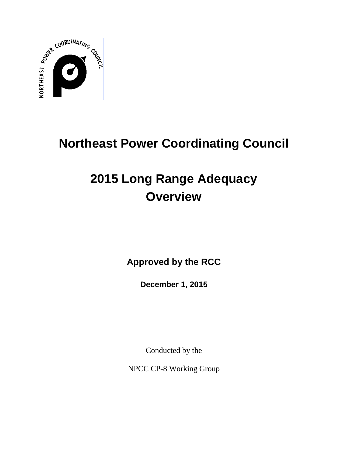

# **Northeast Power Coordinating Council**

# **2015 Long Range Adequacy Overview**

**Approved by the RCC**

**December 1, 2015**

Conducted by the

NPCC CP-8 Working Group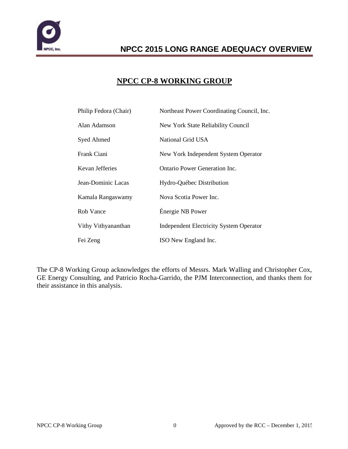

### **NPCC CP-8 WORKING GROUP**

| Philip Fedora (Chair) | Northeast Power Coordinating Council, Inc.     |
|-----------------------|------------------------------------------------|
| Alan Adamson          | New York State Reliability Council             |
| <b>Syed Ahmed</b>     | National Grid USA                              |
| Frank Ciani           | New York Independent System Operator           |
| Kevan Jefferies       | Ontario Power Generation Inc.                  |
| Jean-Dominic Lacas    | Hydro-Québec Distribution                      |
| Kamala Rangaswamy     | Nova Scotia Power Inc.                         |
| Rob Vance             | Énergie NB Power                               |
| Vithy Vithyananthan   | <b>Independent Electricity System Operator</b> |
| Fei Zeng              | ISO New England Inc.                           |

The CP-8 Working Group acknowledges the efforts of Messrs. Mark Walling and Christopher Cox, GE Energy Consulting, and Patricio Rocha-Garrido, the PJM Interconnection, and thanks them for their assistance in this analysis.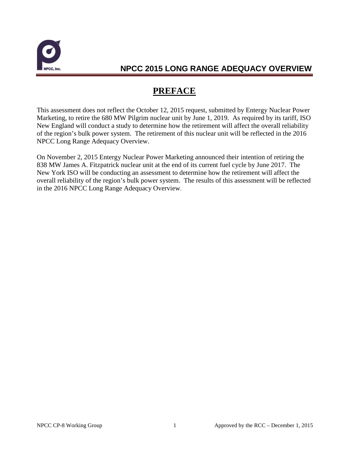

# **PREFACE**

This assessment does not reflect the October 12, 2015 request, submitted by Entergy Nuclear Power Marketing, to retire the 680 MW Pilgrim nuclear unit by June 1, 2019. As required by its tariff, ISO New England will conduct a study to determine how the retirement will affect the overall reliability of the region's bulk power system. The retirement of this nuclear unit will be reflected in the 2016 NPCC Long Range Adequacy Overview.

On November 2, 2015 Entergy Nuclear Power Marketing announced their intention of retiring the 838 MW James A. Fitzpatrick nuclear unit at the end of its current fuel cycle by June 2017. The New York ISO will be conducting an assessment to determine how the retirement will affect the overall reliability of the region's bulk power system. The results of this assessment will be reflected in the 2016 NPCC Long Range Adequacy Overview.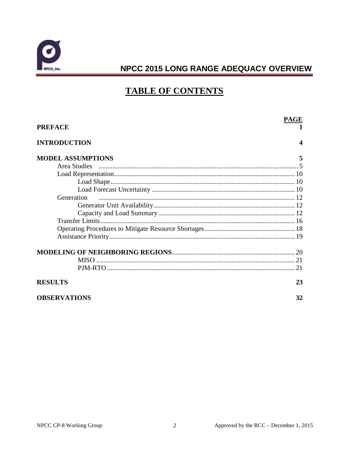

# **TABLE OF CONTENTS**

| <b>PREFACE</b>           | PAGE                  |
|--------------------------|-----------------------|
| <b>INTRODUCTION</b>      | $\boldsymbol{\Delta}$ |
| <b>MODEL ASSUMPTIONS</b> | 5                     |
|                          |                       |
|                          |                       |
|                          |                       |
|                          |                       |
| Generation               |                       |
|                          |                       |
|                          |                       |
|                          |                       |
|                          |                       |
|                          |                       |
|                          |                       |
|                          |                       |
|                          |                       |
| <b>RESULTS</b>           | 23                    |
| <b>OBSERVATIONS</b>      | 32                    |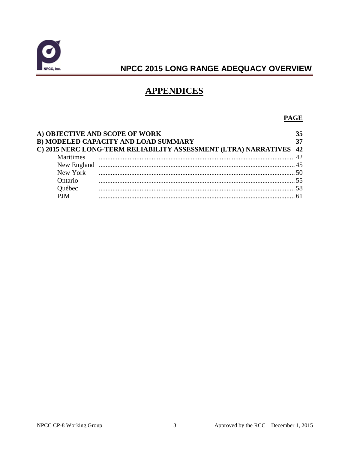

# **APPENDICES**

### **PAGE**

|                  | A) OBJECTIVE AND SCOPE OF WORK<br>B) MODELED CAPACITY AND LOAD SUMMARY<br>C) 2015 NERC LONG-TERM RELIABILITY ASSESSMENT (LTRA) NARRATIVES | 35<br>42 |
|------------------|-------------------------------------------------------------------------------------------------------------------------------------------|----------|
| <b>Maritimes</b> |                                                                                                                                           |          |
|                  |                                                                                                                                           |          |
| New York         |                                                                                                                                           |          |
| Ontario          |                                                                                                                                           |          |
| Ouébec           |                                                                                                                                           |          |
| <b>PIM</b>       |                                                                                                                                           |          |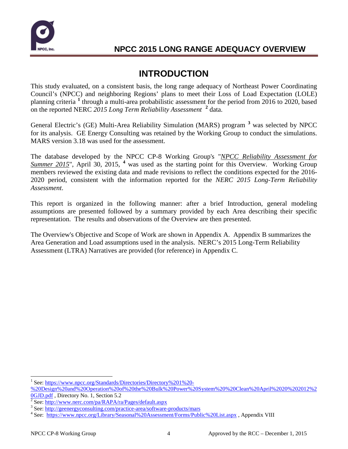

# **INTRODUCTION**

This study evaluated, on a consistent basis, the long range adequacy of Northeast Power Coordinating Council's (NPCC) and neighboring Regions' plans to meet their Loss of Load Expectation (LOLE) planning criteria **[1](#page-5-0)** through a multi-area probabilistic assessment for the period from 2016 to 2020, based on the reported NERC *2015 Long Term Reliability Assessment* **[2](#page-5-1)** data.

General Electric's (GE) Multi-Area Reliability Simulation (MARS) program **[3](#page-5-2)** was selected by NPCC for its analysis. GE Energy Consulting was retained by the Working Group to conduct the simulations. MARS version 3.18 was used for the assessment.

The database developed by the NPCC CP-8 Working Group's "*NPCC Reliability Assessment for Summer 2015*", April 30, 2015, **[4](#page-5-3)** was used as the starting point for this Overview. Working Group members reviewed the existing data and made revisions to reflect the conditions expected for the 2016- 2020 period, consistent with the information reported for the *NERC 2015 Long-Term Reliability Assessment*.

This report is organized in the following manner: after a brief Introduction, general modeling assumptions are presented followed by a summary provided by each Area describing their specific representation. The results and observations of the Overview are then presented.

The Overview's Objective and Scope of Work are shown in Appendix A. Appendix B summarizes the Area Generation and Load assumptions used in the analysis. NERC's 2015 Long-Term Reliability Assessment (LTRA) Narratives are provided (for reference) in Appendix C.

<span id="page-5-0"></span>See: [https://www.npcc.org/Standards/Directories/Directory%201%20-](https://www.npcc.org/Standards/Directories/Directory%201%20-%20Design%20and%20Operation%20of%20the%20Bulk%20Power%20System%20%20Clean%20April%2020%202012%20GJD.pdf) [%20Design%20and%20Operation%20of%20the%20Bulk%20Power%20System%20%20Clean%20April%2020%202012%2](https://www.npcc.org/Standards/Directories/Directory%201%20-%20Design%20and%20Operation%20of%20the%20Bulk%20Power%20System%20%20Clean%20April%2020%202012%20GJD.pdf)

<span id="page-5-1"></span>

<span id="page-5-3"></span><span id="page-5-2"></span>

 $\frac{0 \text{GJD.pdf}}{2}$  See: http://www.nerc.com/pa/RAPA/ra/Pages/default.aspx<br>
<sup>3</sup> See: http://<u>www.nerc.com/pa/RAPA/ra/Pages/default.aspx</u><br>
<sup>3</sup> See: http://<u>geenergyconsulting.com/practice-area/software-products/mars</u><br>
<sup>4</sup> See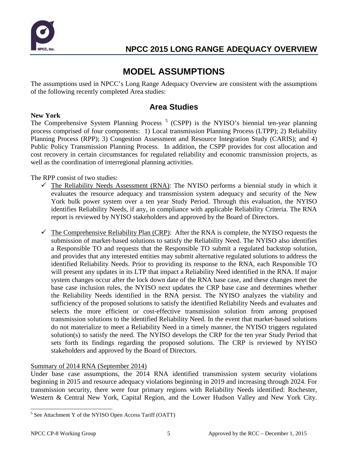

# **MODEL ASSUMPTIONS**

The assumptions used in NPCC's Long Range Adequacy Overview are consistent with the assumptions of the following recently completed Area studies:

### **Area Studies**

### **New York**

The Comprehensive System Planning Process<sup>[5](#page-6-0)</sup> (CSPP) is the NYISO's biennial ten-year planning process comprised of four components: 1) Local transmission Planning Process (LTPP); 2) Reliability Planning Process (RPP); 3) Congestion Assessment and Resource Integration Study (CARIS); and 4) Public Policy Transmission Planning Process. In addition, the CSPP provides for cost allocation and cost recovery in certain circumstances for regulated reliability and economic transmission projects, as well as the coordination of interregional planning activities.

The RPP consist of two studies:

- $\checkmark$  The Reliability Needs Assessment (RNA): The NYISO performs a biennial study in which it evaluates the resource adequacy and transmission system adequacy and security of the New York bulk power system over a ten year Study Period. Through this evaluation, the NYISO identifies Reliability Needs, if any, in compliance with applicable Reliability Criteria. The RNA report is reviewed by NYISO stakeholders and approved by the Board of Directors.
- $\checkmark$  The Comprehensive Reliability Plan (CRP): After the RNA is complete, the NYISO requests the submission of market-based solutions to satisfy the Reliability Need. The NYISO also identifies a Responsible TO and requests that the Responsible TO submit a regulated backstop solution, and provides that any interested entities may submit alternative regulated solutions to address the identified Reliability Needs. Prior to providing its response to the RNA, each Responsible TO will present any updates in its LTP that impact a Reliability Need identified in the RNA. If major system changes occur after the lock down date of the RNA base case, and these changes meet the base case inclusion rules, the NYISO next updates the CRP base case and determines whether the Reliability Needs identified in the RNA persist. The NYISO analyzes the viability and sufficiency of the proposed solutions to satisfy the identified Reliability Needs and evaluates and selects the more efficient or cost-effective transmission solution from among proposed transmission solutions to the identified Reliability Need. In the event that market‐based solutions do not materialize to meet a Reliability Need in a timely manner, the NYISO triggers regulated solution(s) to satisfy the need. The NYISO develops the CRP for the ten year Study Period that sets forth its findings regarding the proposed solutions. The CRP is reviewed by NYISO stakeholders and approved by the Board of Directors.

### Summary of 2014 RNA (September 2014)

Under base case assumptions, the 2014 RNA identified transmission system security violations beginning in 2015 and resource adequacy violations beginning in 2019 and increasing through 2024. For transmission security, there were four primary regions with Reliability Needs identified: Rochester, Western & Central New York, Capital Region, and the Lower Hudson Valley and New York City.

<span id="page-6-0"></span> <sup>5</sup> See Attachment Y of the NYISO Open Access Tariff (OATT)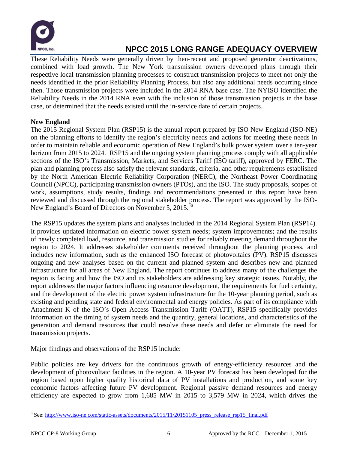

These Reliability Needs were generally driven by then-recent and proposed generator deactivations, combined with load growth. The New York transmission owners developed plans through their respective local transmission planning processes to construct transmission projects to meet not only the needs identified in the prior Reliability Planning Process, but also any additional needs occurring since then. Those transmission projects were included in the 2014 RNA base case. The NYISO identified the Reliability Needs in the 2014 RNA even with the inclusion of those transmission projects in the base case, or determined that the needs existed until the in‐service date of certain projects.

### **New England**

The 2015 Regional System Plan (RSP15) is the annual report prepared by ISO New England (ISO-NE) on the planning efforts to identify the region's electricity needs and actions for meeting these needs in order to maintain reliable and economic operation of New England's bulk power system over a ten-year horizon from 2015 to 2024. RSP15 and the ongoing system planning process comply with all applicable sections of the ISO's Transmission, Markets, and Services Tariff (ISO tariff), approved by FERC. The plan and planning process also satisfy the relevant standards, criteria, and other requirements established by the North American Electric Reliability Corporation (NERC), the Northeast Power Coordinating Council (NPCC), participating transmission owners (PTOs), and the ISO. The study proposals, scopes of work, assumptions, study results, findings and recommendations presented in this report have been reviewed and discussed through the regional stakeholder process. The report was approved by the ISO-New England's Board of Directors on November 5, 2015. **[6](#page-7-0)**

The RSP15 updates the system plans and analyses included in the 2014 Regional System Plan (RSP14). It provides updated information on electric power system needs; system improvements; and the results of newly completed load, resource, and transmission studies for reliably meeting demand throughout the region to 2024. It addresses stakeholder comments received throughout the planning process, and includes new information, such as the enhanced ISO forecast of photovoltaics (PV). RSP15 discusses ongoing and new analyses based on the current and planned system and describes new and planned infrastructure for all areas of New England. The report continues to address many of the challenges the region is facing and how the ISO and its stakeholders are addressing key strategic issues. Notably, the report addresses the major factors influencing resource development, the requirements for fuel certainty, and the development of the electric power system infrastructure for the 10-year planning period, such as existing and pending state and federal environmental and energy policies. As part of its compliance with Attachment K of the ISO's Open Access Transmission Tariff (OATT), RSP15 specifically provides information on the timing of system needs and the quantity, general locations, and characteristics of the generation and demand resources that could resolve these needs and defer or eliminate the need for transmission projects.

Major findings and observations of the RSP15 include:

Public policies are key drivers for the continuous growth of energy-efficiency resources and the development of photovoltaic facilities in the region. A 10-year PV forecast has been developed for the region based upon higher quality historical data of PV installations and production, and some key economic factors affecting future PV development. Regional passive demand resources and energy efficiency are expected to grow from 1,685 MW in 2015 to 3,579 MW in 2024, which drives the

<span id="page-7-0"></span> <sup>6</sup> See: [http://www.iso-ne.com/static-assets/documents/2015/11/20151105\\_press\\_release\\_rsp15\\_final.pdf](http://www.iso-ne.com/static-assets/documents/2015/11/20151105_press_release_rsp15_final.pdf)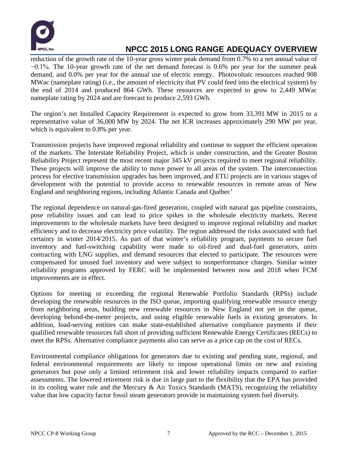

reduction of the growth rate of the 10-year gross winter peak demand from 0.7% to a net annual value of −0.1%. The 10-year growth rate of the net demand forecast is 0.6% per year for the summer peak demand, and 0.0% per year for the annual use of electric energy. Photovoltaic resources reached 908 MWac (nameplate rating) (i.e., the amount of electricity that PV could feed into the electrical system) by the end of 2014 and produced 864 GWh. These resources are expected to grow to 2,449 MWac nameplate rating by 2024 and are forecast to produce 2,593 GWh.

The region's net Installed Capacity Requirement is expected to grow from 33,391 MW in 2015 to a representative value of 36,000 MW by 2024. The net ICR increases approximately 290 MW per year, which is equivalent to 0.8% per year.

Transmission projects have improved regional reliability and continue to support the efficient operation of the markets. The Interstate Reliability Project, which is under construction, and the Greater Boston Reliability Project represent the most recent major 345 kV projects required to meet regional reliability. These projects will improve the ability to move power to all areas of the system. The interconnection process for elective transmission upgrades has been improved, and ETU projects are in various stages of development with the potential to provide access to renewable resources in remote areas of New England and neighboring regions, including Atlantic Canada and Québec'

The regional dependence on natural-gas-fired generation, coupled with natural gas pipeline constraints, pose reliability issues and can lead to price spikes in the wholesale electricity markets. Recent improvements to the wholesale markets have been designed to improve regional reliability and market efficiency and to decrease electricity price volatility. The region addressed the risks associated with fuel certainty in winter 2014/2015. As part of that winter's reliability program, payments to secure fuel inventory and fuel-switching capability were made to oil-fired and dual-fuel generators, units contracting with LNG supplies, and demand resources that elected to participate. The resources were compensated for unused fuel inventory and were subject to nonperformance charges. Similar winter reliability programs approved by FERC will be implemented between now and 2018 when FCM improvements are in effect.

Options for meeting or exceeding the regional Renewable Portfolio Standards (RPSs) include developing the renewable resources in the ISO queue, importing qualifying renewable resource energy from neighboring areas, building new renewable resources in New England not yet in the queue, developing behind-the-meter projects, and using eligible renewable fuels in existing generators. In addition, load-serving entities can make state-established alternative compliance payments if their qualified renewable resources fall short of providing sufficient Renewable Energy Certificates (RECs) to meet the RPSs. Alternative compliance payments also can serve as a price cap on the cost of RECs.

Environmental compliance obligations for generators due to existing and pending state, regional, and federal environmental requirements are likely to impose operational limits on new and existing generators but pose only a limited retirement risk and lower reliability impacts compared to earlier assessments. The lowered retirement risk is due in large part to the flexibility that the EPA has provided in its cooling water rule and the Mercury & Air Toxics Standards (MATS), recognizing the reliability value that low capacity factor fossil steam generators provide in maintaining system fuel diversity.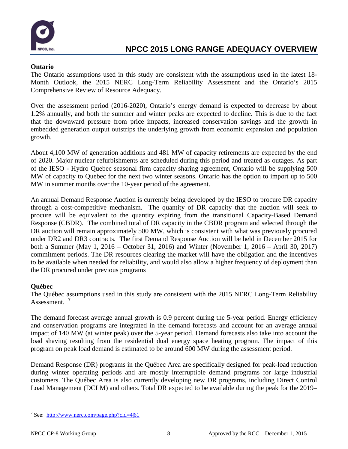

### **Ontario**

The Ontario assumptions used in this study are consistent with the assumptions used in the latest 18- Month Outlook, the 2015 NERC Long-Term Reliability Assessment and the Ontario's 2015 Comprehensive Review of Resource Adequacy.

Over the assessment period (2016-2020), Ontario's energy demand is expected to decrease by about 1.2% annually, and both the summer and winter peaks are expected to decline. This is due to the fact that the downward pressure from price impacts, increased conservation savings and the growth in embedded generation output outstrips the underlying growth from economic expansion and population growth.

About 4,100 MW of generation additions and 481 MW of capacity retirements are expected by the end of 2020. Major nuclear refurbishments are scheduled during this period and treated as outages. As part of the IESO - Hydro Quebec seasonal firm capacity sharing agreement, Ontario will be supplying 500 MW of capacity to Quebec for the next two winter seasons. Ontario has the option to import up to 500 MW in summer months over the 10-year period of the agreement.

An annual Demand Response Auction is currently being developed by the IESO to procure DR capacity through a cost-competitive mechanism. The quantity of DR capacity that the auction will seek to procure will be equivalent to the quantity expiring from the transitional Capacity-Based Demand Response (CBDR). The combined total of DR capacity in the CBDR program and selected through the DR auction will remain approximately 500 MW, which is consistent with what was previously procured under DR2 and DR3 contracts. The first Demand Response Auction will be held in December 2015 for both a Summer (May 1, 2016 – October 31, 2016) and Winter (November 1, 2016 – April 30, 2017) commitment periods. The DR resources clearing the market will have the obligation and the incentives to be available when needed for reliability, and would also allow a higher frequency of deployment than the DR procured under previous programs

### **Québec**

The Québec assumptions used in this study are consistent with the 2015 NERC Long-Term Reliability Assessment. **[7](#page-9-0)**

The demand forecast average annual growth is 0.9 percent during the 5-year period. Energy efficiency and conservation programs are integrated in the demand forecasts and account for an average annual impact of 140 MW (at winter peak) over the 5-year period. Demand forecasts also take into account the load shaving resulting from the residential dual energy space heating program. The impact of this program on peak load demand is estimated to be around 600 MW during the assessment period.

Demand Response (DR) programs in the Québec Area are specifically designed for peak-load reduction during winter operating periods and are mostly interruptible demand programs for large industrial customers. The Québec Area is also currently developing new DR programs, including Direct Control Load Management (DCLM) and others. Total DR expected to be available during the peak for the 2019–

<span id="page-9-0"></span> <sup>7</sup> See: <http://www.nerc.com/page.php?cid=4|61>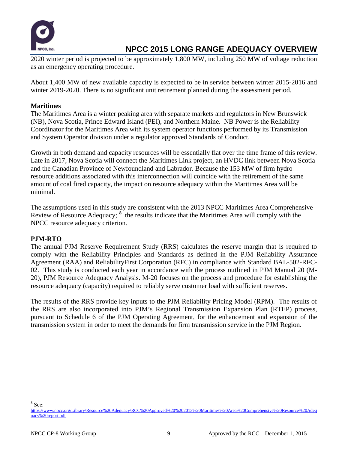

2020 winter period is projected to be approximately 1,800 MW, including 250 MW of voltage reduction as an emergency operating procedure.

About 1,400 MW of new available capacity is expected to be in service between winter 2015-2016 and winter 2019-2020. There is no significant unit retirement planned during the assessment period.

### **Maritimes**

The Maritimes Area is a winter peaking area with separate markets and regulators in New Brunswick (NB), Nova Scotia, Prince Edward Island (PEI), and Northern Maine. NB Power is the Reliability Coordinator for the Maritimes Area with its system operator functions performed by its Transmission and System Operator division under a regulator approved Standards of Conduct.

Growth in both demand and capacity resources will be essentially flat over the time frame of this review. Late in 2017, Nova Scotia will connect the Maritimes Link project, an HVDC link between Nova Scotia and the Canadian Province of Newfoundland and Labrador. Because the 153 MW of firm hydro resource additions associated with this interconnection will coincide with the retirement of the same amount of coal fired capacity, the impact on resource adequacy within the Maritimes Area will be minimal.

The assumptions used in this study are consistent with the 2013 NPCC Maritimes Area Comprehensive Review of Resource Adequacy; <sup>[8](#page-10-0)</sup> the results indicate that the Maritimes Area will comply with the NPCC resource adequacy criterion.

### **PJM-RTO**

The annual PJM Reserve Requirement Study (RRS) calculates the reserve margin that is required to comply with the Reliability Principles and Standards as defined in the PJM Reliability Assurance Agreement (RAA) and ReliabilityFirst Corporation (RFC) in compliance with Standard BAL-502-RFC-02. This study is conducted each year in accordance with the process outlined in PJM Manual 20 (M-20), PJM Resource Adequacy Analysis. M-20 focuses on the process and procedure for establishing the resource adequacy (capacity) required to reliably serve customer load with sufficient reserves.

The results of the RRS provide key inputs to the PJM Reliability Pricing Model (RPM). The results of the RRS are also incorporated into PJM's Regional Transmission Expansion Plan (RTEP) process, pursuant to Schedule 6 of the PJM Operating Agreement, for the enhancement and expansion of the transmission system in order to meet the demands for firm transmission service in the PJM Region.

<span id="page-10-0"></span> $8$  See:

[https://www.npcc.org/Library/Resource%20Adequacy/RCC%20Approved%20%202013%20Maritimes%20Area%20Comprehensive%20Resource%20Adeq](https://www.npcc.org/Library/Resource%20Adequacy/RCC%20Approved%20%202013%20Maritimes%20Area%20Comprehensive%20Resource%20Adequacy%20report.pdf) [uacy%20report.pdf](https://www.npcc.org/Library/Resource%20Adequacy/RCC%20Approved%20%202013%20Maritimes%20Area%20Comprehensive%20Resource%20Adequacy%20report.pdf)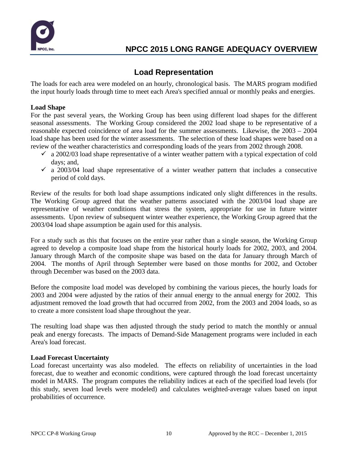

### **Load Representation**

The loads for each area were modeled on an hourly, chronological basis. The MARS program modified the input hourly loads through time to meet each Area's specified annual or monthly peaks and energies.

### **Load Shape**

For the past several years, the Working Group has been using different load shapes for the different seasonal assessments. The Working Group considered the 2002 load shape to be representative of a reasonable expected coincidence of area load for the summer assessments. Likewise, the 2003 – 2004 load shape has been used for the winter assessments. The selection of these load shapes were based on a review of the weather characteristics and corresponding loads of the years from 2002 through 2008.

- $\checkmark$  a 2002/03 load shape representative of a winter weather pattern with a typical expectation of cold days; and,
- $\sim$  a 2003/04 load shape representative of a winter weather pattern that includes a consecutive period of cold days.

Review of the results for both load shape assumptions indicated only slight differences in the results. The Working Group agreed that the weather patterns associated with the 2003/04 load shape are representative of weather conditions that stress the system, appropriate for use in future winter assessments. Upon review of subsequent winter weather experience, the Working Group agreed that the 2003/04 load shape assumption be again used for this analysis.

For a study such as this that focuses on the entire year rather than a single season, the Working Group agreed to develop a composite load shape from the historical hourly loads for 2002, 2003, and 2004. January through March of the composite shape was based on the data for January through March of 2004. The months of April through September were based on those months for 2002, and October through December was based on the 2003 data.

Before the composite load model was developed by combining the various pieces, the hourly loads for 2003 and 2004 were adjusted by the ratios of their annual energy to the annual energy for 2002. This adjustment removed the load growth that had occurred from 2002, from the 2003 and 2004 loads, so as to create a more consistent load shape throughout the year.

The resulting load shape was then adjusted through the study period to match the monthly or annual peak and energy forecasts. The impacts of Demand-Side Management programs were included in each Area's load forecast.

### **Load Forecast Uncertainty**

Load forecast uncertainty was also modeled.The effects on reliability of uncertainties in the load forecast, due to weather and economic conditions, were captured through the load forecast uncertainty model in MARS. The program computes the reliability indices at each of the specified load levels (for this study, seven load levels were modeled) and calculates weighted-average values based on input probabilities of occurrence.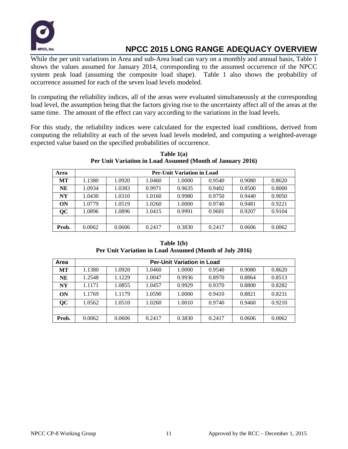

While the per unit variations in Area and sub-Area load can vary on a monthly and annual basis, Table 1 shows the values assumed for January 2014, corresponding to the assumed occurrence of the NPCC system peak load (assuming the composite load shape). Table 1 also shows the probability of occurrence assumed for each of the seven load levels modeled.

In computing the reliability indices, all of the areas were evaluated simultaneously at the corresponding load level, the assumption being that the factors giving rise to the uncertainty affect all of the areas at the same time. The amount of the effect can vary according to the variations in the load levels.

For this study, the reliability indices were calculated for the expected load conditions, derived from computing the reliability at each of the seven load levels modeled, and computing a weighted-average expected value based on the specified probabilities of occurrence.

| Area      | <b>Per-Unit Variation in Load</b> |        |        |        |        |        |        |  |
|-----------|-----------------------------------|--------|--------|--------|--------|--------|--------|--|
| <b>MT</b> | 1.1380                            | 1.0920 | 1.0460 | 1.0000 | 0.9540 | 0.9080 | 0.8620 |  |
| NE        | 1.0934                            | 1.0383 | 0.9971 | 0.9635 | 0.9402 | 0.8500 | 0.8000 |  |
| NY        | 1.0430                            | 1.0310 | 1.0160 | 0.9980 | 0.9750 | 0.9440 | 0.9050 |  |
| <b>ON</b> | 1.0779                            | 1.0519 | 1.0260 | 1.0000 | 0.9740 | 0.9481 | 0.9221 |  |
| QC        | 1.0896                            | 1.0896 | 1.0415 | 0.9991 | 0.9601 | 0.9207 | 0.9104 |  |
|           |                                   |        |        |        |        |        |        |  |
| Prob.     | 0.0062                            | 0.0606 | 0.2417 | 0.3830 | 0.2417 | 0.0606 | 0.0062 |  |

**Table 1(a) Per Unit Variation in Load Assumed (Month of January 2016)**

**Table 1(b) Per Unit Variation in Load Assumed (Month of July 2016)**

| Area      | <b>Per-Unit Variation in Load</b> |        |        |        |        |        |        |  |  |
|-----------|-----------------------------------|--------|--------|--------|--------|--------|--------|--|--|
| <b>MT</b> | 1.1380                            | 1.0920 | 1.0460 | 1.0000 | 0.9540 | 0.9080 | 0.8620 |  |  |
| NE        | 1.2548                            | 1.1229 | 1.0047 | 0.9936 | 0.8970 | 0.8864 | 0.8513 |  |  |
| <b>NY</b> | 1.1171                            | 1.0855 | 1.0457 | 0.9929 | 0.9370 | 0.8800 | 0.8282 |  |  |
| ON        | 1.1769                            | 1.1179 | 1.0590 | 1.0000 | 0.9410 | 0.8821 | 0.8231 |  |  |
| QC        | 1.0562                            | 1.0510 | 1.0260 | 1.0010 | 0.9740 | 0.9460 | 0.9210 |  |  |
|           |                                   |        |        |        |        |        |        |  |  |
| Prob.     | 0.0062                            | 0.0606 | 0.2417 | 0.3830 | 0.2417 | 0.0606 | 0.0062 |  |  |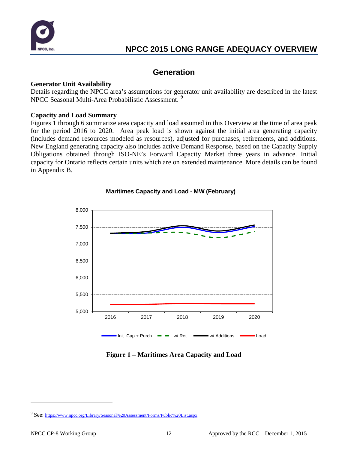

### **Generation**

### **Generator Unit Availability**

Details regarding the NPCC area's assumptions for generator unit availability are described in the latest NPCC Seasonal Multi-Area Probabilistic Assessment. **[9](#page-13-0)**

### **Capacity and Load Summary**

Figures 1 through 6 summarize area capacity and load assumed in this Overview at the time of area peak for the period 2016 to 2020. Area peak load is shown against the initial area generating capacity (includes demand resources modeled as resources), adjusted for purchases, retirements, and additions. New England generating capacity also includes active Demand Response, based on the Capacity Supply Obligations obtained through ISO-NE's Forward Capacity Market three years in advance. Initial capacity for Ontario reflects certain units which are on extended maintenance. More details can be found in Appendix B.



### **Maritimes Capacity and Load - MW (February)**

### **Figure 1 – Maritimes Area Capacity and Load**

 $\overline{a}$ 

<span id="page-13-0"></span><sup>&</sup>lt;sup>9</sup> See:<https://www.npcc.org/Library/Seasonal%20Assessment/Forms/Public%20List.aspx>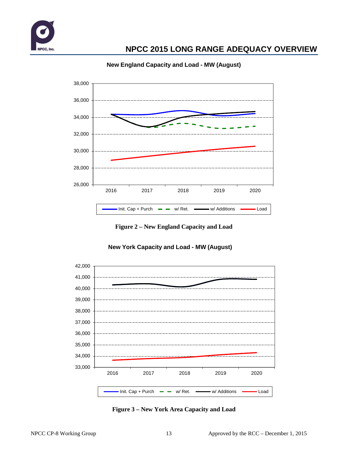



### **New England Capacity and Load - MW (August)**

**Figure 2 – New England Capacity and Load**



### **New York Capacity and Load - MW (August)**

**Figure 3 – New York Area Capacity and Load**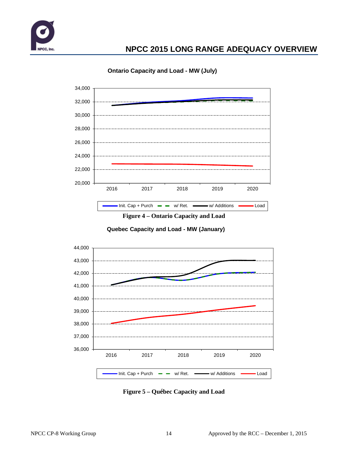



**Ontario Capacity and Load - MW (July)**



**Quebec Capacity and Load - MW (January)**



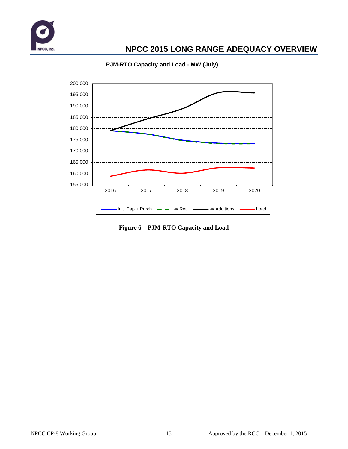



### **PJM-RTO Capacity and Load - MW (July)**

**Figure 6 – PJM-RTO Capacity and Load**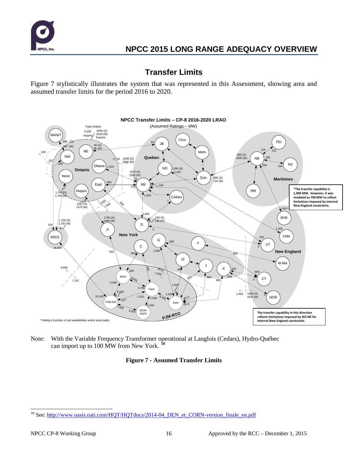

### **Transfer Limits**

Figure 7 stylistically illustrates the system that was represented in this Assessment, showing area and assumed transfer limits for the period 2016 to 2020.



Note: With the Variable Frequency Transformer operational at Langlois (Cedars), Hydro-Québec can import up to 100 MW from New York. **[10](#page-17-0)**

### **Figure 7 - Assumed Transfer Limits**

<span id="page-17-0"></span><sup>&</sup>lt;sup>10</sup> See[: http://www.oasis.oati.com/HQT/HQTdocs/2014-04\\_DEN\\_et\\_CORN-version\\_finale\\_en.pdf](http://www.oasis.oati.com/HQT/HQTdocs/2014-04_DEN_et_CORN-version_finale_en.pdf)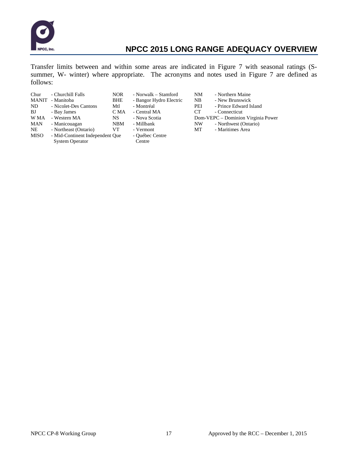

Transfer limits between and within some areas are indicated in Figure 7 with seasonal ratings (Ssummer, W- winter) where appropriate. The acronyms and notes used in Figure 7 are defined as follows:

| - Churchill Falls<br>MANIT<br>- Manitoba | NOR.<br>BHE           | - Norwalk – Stamford<br>- Bangor Hydro Electric | NM<br>N <sub>B</sub> | - Northern Maine<br>- New Brunswick |
|------------------------------------------|-----------------------|-------------------------------------------------|----------------------|-------------------------------------|
|                                          |                       |                                                 |                      | - Prince Edward I                   |
| - Bay James                              | C MA                  | - Central MA                                    | CT.                  | - Connecticut                       |
| - Western MA                             | NS.                   | - Nova Scotia                                   |                      | Dom-VEPC – Dominion V               |
| - Manicouagan                            | <b>NBM</b>            | - Millbank                                      | NW                   | - Northwest (Onta                   |
| - Northeast (Ontario)                    | VT.                   | - Vermont                                       | MT                   | - Maritimes Area                    |
|                                          |                       | - Québec Centre                                 |                      |                                     |
| <b>System Operator</b>                   |                       | Centre                                          |                      |                                     |
|                                          | - Nicolet-Des Cantons | Mtl<br>- Mid-Continent Independent Que          | - Montréal           | PEI                                 |

- 
- 
- Edward Island<br>ecticut
- 
- minion Virginia Power
	- west (Ontario)<br>mes Area
	-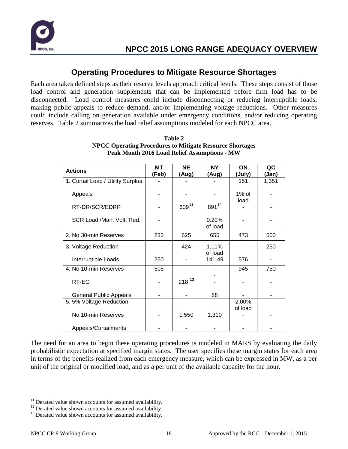

## **Operating Procedures to Mitigate Resource Shortages**

Each area takes defined steps as their reserve levels approach critical levels. These steps consist of those load control and generation supplements that can be implemented before firm load has to be disconnected. Load control measures could include disconnecting or reducing interruptible loads, making public appeals to reduce demand, and/or implementing voltage reductions. Other measures could include calling on generation available under emergency conditions, and/or reducing operating reserves. Table 2 summarizes the load relief assumptions modeled for each NPCC area.

| <b>Actions</b>                    | MT<br>(Feb) | <b>NE</b><br>(Aug) | <b>NY</b><br>(Aug) | ON<br>(July)     | QC<br>(Jan) |
|-----------------------------------|-------------|--------------------|--------------------|------------------|-------------|
| 1. Curtail Load / Utility Surplus |             |                    |                    | 151              | 1,351       |
| Appeals                           |             |                    |                    | $1\%$ of<br>load |             |
| RT-DR/SCR/EDRP                    |             | 60911              | 89112              |                  |             |
| SCR Load /Man. Volt. Red.         |             |                    | 0.20%<br>of load   |                  |             |
| 2. No 30-min Reserves             | 233         | 625                | 655                | 473              | 500         |
| 3. Voltage Reduction              |             | 424                | 1.11%<br>of load   |                  | 250         |
| Interruptible Loads               | 250         |                    | 141.49             | 576              |             |
| 4. No 10-min Reserves             | 505         |                    |                    | 945              | 750         |
| RT-EG                             |             | $218^{13}$         |                    |                  |             |
| <b>General Public Appeals</b>     |             |                    | 88                 |                  |             |
| 5.5% Voltage Reduction            |             |                    |                    | 2.00%            |             |
| No 10-min Reserves                |             | 1,550              | 1,310              | of load          |             |
| Appeals/Curtailments              |             |                    |                    |                  |             |

| Table 2                                                         |  |  |  |  |  |
|-----------------------------------------------------------------|--|--|--|--|--|
| <b>NPCC Operating Procedures to Mitigate Resource Shortages</b> |  |  |  |  |  |
| <b>Peak Month 2016 Load Relief Assumptions - MW</b>             |  |  |  |  |  |

The need for an area to begin these operating procedures is modeled in MARS by evaluating the daily probabilistic expectation at specified margin states. The user specifies these margin states for each area in terms of the benefits realized from each emergency measure, which can be expressed in MW, as a per unit of the original or modified load, and as a per unit of the available capacity for the hour.

<span id="page-19-1"></span><span id="page-19-0"></span><sup>&</sup>lt;sup>11</sup> Derated value shown accounts for assumed availability.<br><sup>12</sup> Derated value shown accounts for assumed availability.<br><sup>13</sup> Derated value shown accounts for assumed availability.

<span id="page-19-2"></span>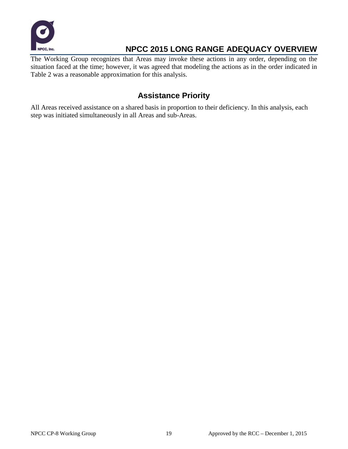

The Working Group recognizes that Areas may invoke these actions in any order, depending on the situation faced at the time; however, it was agreed that modeling the actions as in the order indicated in Table 2 was a reasonable approximation for this analysis.

# **Assistance Priority**

All Areas received assistance on a shared basis in proportion to their deficiency. In this analysis, each step was initiated simultaneously in all Areas and sub-Areas.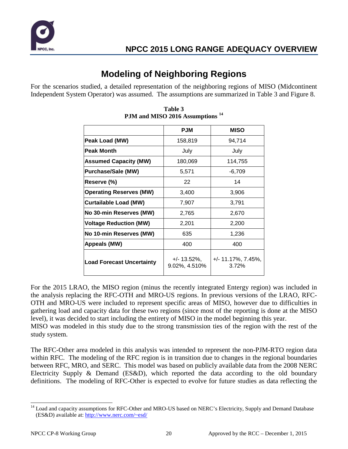

# **Modeling of Neighboring Regions**

For the scenarios studied, a detailed representation of the neighboring regions of MISO (Midcontinent Independent System Operator) was assumed. The assumptions are summarized in Table 3 and Figure 8.

|                                  | <b>PJM</b>                     | <b>MISO</b>                     |
|----------------------------------|--------------------------------|---------------------------------|
| Peak Load (MW)                   | 158,819                        | 94,714                          |
| Peak Month                       | July                           | July                            |
| <b>Assumed Capacity (MW)</b>     | 180,069                        | 114,755                         |
| <b>Purchase/Sale (MW)</b>        | 5,571                          | $-6,709$                        |
| Reserve (%)                      | 22                             | 14                              |
| <b>Operating Reserves (MW)</b>   | 3,400                          | 3,906                           |
| <b>Curtailable Load (MW)</b>     | 7,907                          | 3,791                           |
| No 30-min Reserves (MW)          | 2,765                          | 2,670                           |
| <b>Voltage Reduction (MW)</b>    | 2,201                          | 2,200                           |
| No 10-min Reserves (MW)          | 635                            | 1,236                           |
| Appeals (MW)                     | 400                            | 400                             |
| <b>Load Forecast Uncertainty</b> | $+/- 13.52\%$<br>9.02%, 4.510% | $+/- 11.17\%$ , 7.45%,<br>3.72% |

**Table 3 PJM and MISO 2016 Assumptions [14](#page-21-0)**

For the 2015 LRAO, the MISO region (minus the recently integrated Entergy region) was included in the analysis replacing the RFC-OTH and MRO-US regions. In previous versions of the LRAO, RFC-OTH and MRO-US were included to represent specific areas of MISO, however due to difficulties in gathering load and capacity data for these two regions (since most of the reporting is done at the MISO level), it was decided to start including the entirety of MISO in the model beginning this year.

MISO was modeled in this study due to the strong transmission ties of the region with the rest of the study system.

The RFC-Other area modeled in this analysis was intended to represent the non-PJM-RTO region data within RFC. The modeling of the RFC region is in transition due to changes in the regional boundaries between RFC, MRO, and SERC. This model was based on publicly available data from the 2008 NERC Electricity Supply & Demand (ES&D), which reported the data according to the old boundary definitions. The modeling of RFC-Other is expected to evolve for future studies as data reflecting the

<span id="page-21-0"></span><sup>&</sup>lt;sup>14</sup> Load and capacity assumptions for RFC-Other and MRO-US based on NERC's Electricity, Supply and Demand Database (ES&D) available at:<http://www.nerc.com/~esd/>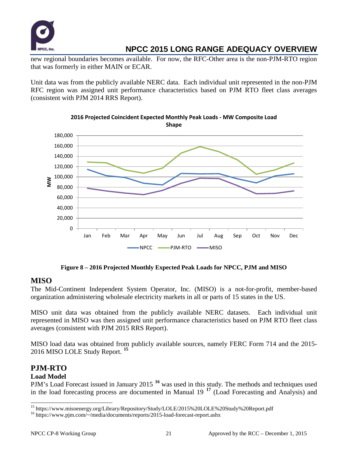

new regional boundaries becomes available. For now, the RFC-Other area is the non-PJM-RTO region that was formerly in either MAIN or ECAR.

Unit data was from the publicly available NERC data. Each individual unit represented in the non-PJM RFC region was assigned unit performance characteristics based on PJM RTO fleet class averages (consistent with PJM 2014 RRS Report).



**2016 Projected Coincident Expected Monthly Peak Loads - MW Composite Load Shape**

**Figure 8 – 2016 Projected Monthly Expected Peak Loads for NPCC, PJM and MISO**

### **MISO**

The Mid-Continent Independent System Operator, Inc. (MISO) is a not-for-profit, member-based organization administering wholesale electricity markets in all or parts of 15 states in the US.

MISO unit data was obtained from the publicly available NERC datasets. Each individual unit represented in MISO was then assigned unit performance characteristics based on PJM RTO fleet class averages (consistent with PJM 2015 RRS Report).

MISO load data was obtained from publicly available sources, namely FERC Form 714 and the 2015- 2016 MISO LOLE Study Report. **[15](#page-22-0)**

### **PJM-RTO**

### **Load Model**

PJM's Load Forecast issued in January 2015 **[16](#page-22-1)** was used in this study. The methods and techniques used in the load forecasting process are documented in Manual 19 **[17](#page-22-0)** (Load Forecasting and Analysis) and

<span id="page-22-0"></span> $^{15}$ https://www.misoenergy.org/Library/Repository/Study/LOLE/2015%20LOLE%20Study%20Report.pdf  $^{16}$ https://www.pjm.com/~/media/documents/reports/2015-load-forecast-report.ashx

<span id="page-22-1"></span>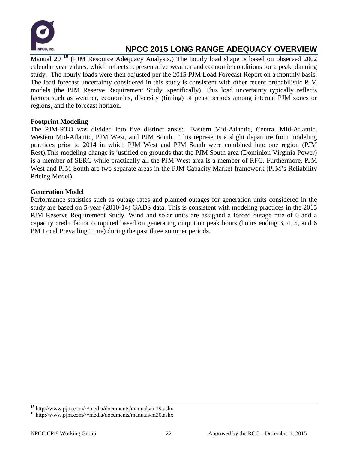

Manual 20 **[18](#page-23-0)** (PJM Resource Adequacy Analysis.) The hourly load shape is based on observed 2002 calendar year values, which reflects representative weather and economic conditions for a peak planning study. The hourly loads were then adjusted per the 2015 PJM Load Forecast Report on a monthly basis. The load forecast uncertainty considered in this study is consistent with other recent probabilistic PJM models (the PJM Reserve Requirement Study, specifically). This load uncertainty typically reflects factors such as weather, economics, diversity (timing) of peak periods among internal PJM zones or regions, and the forecast horizon.

### **Footprint Modeling**

The PJM-RTO was divided into five distinct areas: Eastern Mid-Atlantic, Central Mid-Atlantic, Western Mid-Atlantic, PJM West, and PJM South. This represents a slight departure from modeling practices prior to 2014 in which PJM West and PJM South were combined into one region (PJM Rest).This modeling change is justified on grounds that the PJM South area (Dominion Virginia Power) is a member of SERC while practically all the PJM West area is a member of RFC. Furthermore, PJM West and PJM South are two separate areas in the PJM Capacity Market framework (PJM's Reliability Pricing Model).

### **Generation Model**

Performance statistics such as outage rates and planned outages for generation units considered in the study are based on 5-year (2010-14) GADS data. This is consistent with modeling practices in the 2015 PJM Reserve Requirement Study. Wind and solar units are assigned a forced outage rate of 0 and a capacity credit factor computed based on generating output on peak hours (hours ending 3, 4, 5, and 6 PM Local Prevailing Time) during the past three summer periods.

<sup>&</sup>lt;sup>17</sup> http://www.pjm.com/~/media/documents/manuals/m19.ashx<br><sup>18</sup> http://www.pjm.com/~/media/documents/manuals/m20.ashx

<span id="page-23-0"></span>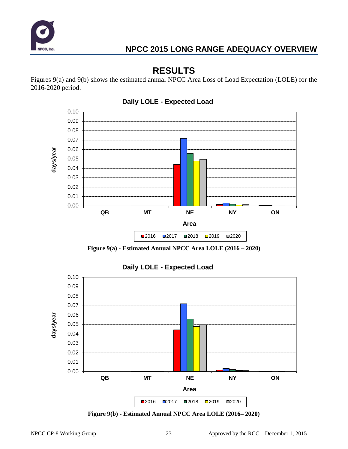

# **RESULTS**

Figures 9(a) and 9(b) shows the estimated annual NPCC Area Loss of Load Expectation (LOLE) for the 2016-2020 period.



**Figure 9(a) - Estimated Annual NPCC Area LOLE (2016 – 2020)**



**Daily LOLE - Expected Load**

**Figure 9(b) - Estimated Annual NPCC Area LOLE (2016– 2020)**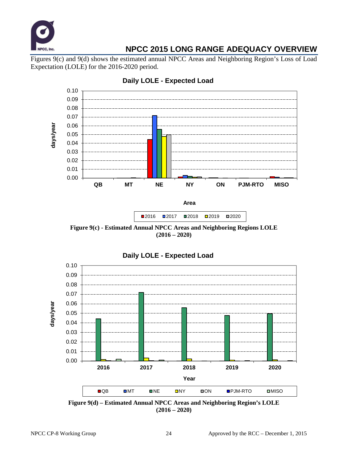

Figures 9(c) and 9(d) shows the estimated annual NPCC Areas and Neighboring Region's Loss of Load Expectation (LOLE) for the 2016-2020 period.



### **Daily LOLE - Expected Load**



**Figure 9(c) - Estimated Annual NPCC Areas and Neighboring Regions LOLE (2016 – 2020)**



**Figure 9(d) – Estimated Annual NPCC Areas and Neighboring Region's LOLE (2016 – 2020)**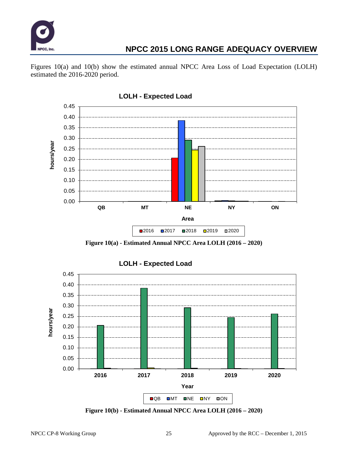

Figures 10(a) and 10(b) show the estimated annual NPCC Area Loss of Load Expectation (LOLH) estimated the 2016-2020 period.



**Figure 10(a) - Estimated Annual NPCC Area LOLH (2016 – 2020)**



**Figure 10(b) - Estimated Annual NPCC Area LOLH (2016 – 2020)**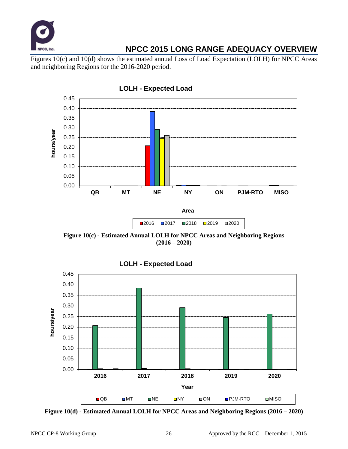

Figures 10(c) and 10(d) shows the estimated annual Loss of Load Expectation (LOLH) for NPCC Areas and neighboring Regions for the 2016-2020 period.



**Figure 10(c) - Estimated Annual LOLH for NPCC Areas and Neighboring Regions (2016 – 2020)**



**Figure 10(d) - Estimated Annual LOLH for NPCC Areas and Neighboring Regions (2016 – 2020)**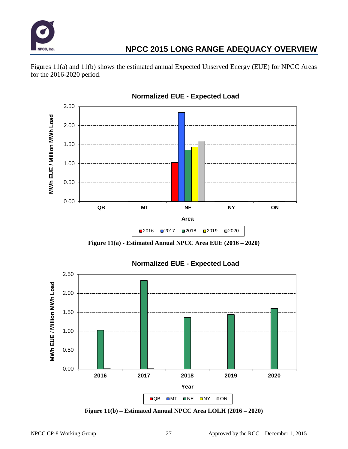

Figures 11(a) and 11(b) shows the estimated annual Expected Unserved Energy (EUE) for NPCC Areas for the 2016-2020 period.



**Normalized EUE - Expected Load**

**Figure 11(a) - Estimated Annual NPCC Area EUE (2016 – 2020)**



**Figure 11(b) – Estimated Annual NPCC Area LOLH (2016 – 2020)**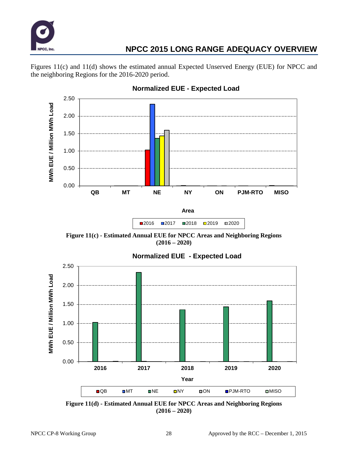

Figures 11(c) and 11(d) shows the estimated annual Expected Unserved Energy (EUE) for NPCC and the neighboring Regions for the 2016-2020 period.



**Normalized EUE - Expected Load**

**Figure 11(c) - Estimated Annual EUE for NPCC Areas and Neighboring Regions (2016 – 2020)**



**Figure 11(d) - Estimated Annual EUE for NPCC Areas and Neighboring Regions (2016 – 2020)**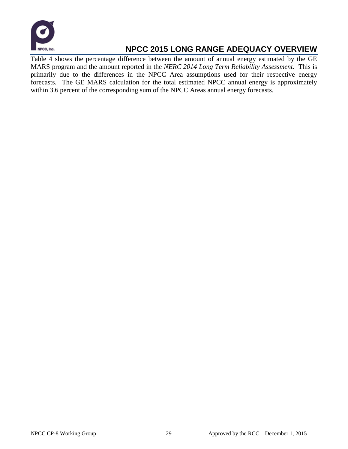

Table 4 shows the percentage difference between the amount of annual energy estimated by the GE MARS program and the amount reported in the *NERC 2014 Long Term Reliability Assessment*. This is primarily due to the differences in the NPCC Area assumptions used for their respective energy forecasts. The GE MARS calculation for the total estimated NPCC annual energy is approximately within 3.6 percent of the corresponding sum of the NPCC Areas annual energy forecasts.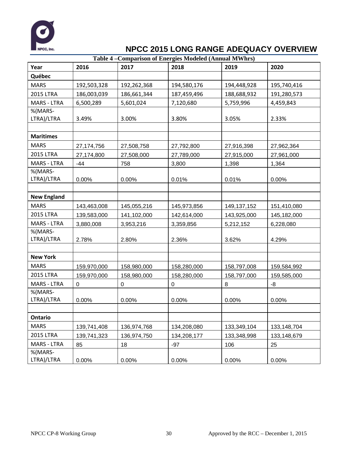

|                    | Table 4 – Comparison of Energies Modeled (Annual MWhrs) |             |             |               |               |  |  |  |  |
|--------------------|---------------------------------------------------------|-------------|-------------|---------------|---------------|--|--|--|--|
| Year               | 2016                                                    | 2017        | 2018        | 2019          | 2020          |  |  |  |  |
| Québec             |                                                         |             |             |               |               |  |  |  |  |
| <b>MARS</b>        | 192,503,328                                             | 192,262,368 | 194,580,176 | 194,448,928   | 195,740,416   |  |  |  |  |
| <b>2015 LTRA</b>   | 186,003,039                                             | 186,661,344 | 187,459,496 | 188,688,932   | 191,280,573   |  |  |  |  |
| <b>MARS - LTRA</b> | 6,500,289                                               | 5,601,024   | 7,120,680   | 5,759,996     | 4,459,843     |  |  |  |  |
| %(MARS-            |                                                         |             |             |               |               |  |  |  |  |
| LTRA)/LTRA         | 3.49%                                                   | 3.00%       | 3.80%       | 3.05%         | 2.33%         |  |  |  |  |
|                    |                                                         |             |             |               |               |  |  |  |  |
| <b>Maritimes</b>   |                                                         |             |             |               |               |  |  |  |  |
| <b>MARS</b>        | 27,174,756                                              | 27,508,758  | 27,792,800  | 27,916,398    | 27,962,364    |  |  |  |  |
| <b>2015 LTRA</b>   | 27,174,800                                              | 27,508,000  | 27,789,000  | 27,915,000    | 27,961,000    |  |  |  |  |
| <b>MARS - LTRA</b> | $-44$                                                   | 758         | 3,800       | 1,398         | 1,364         |  |  |  |  |
| %(MARS-            |                                                         |             |             |               |               |  |  |  |  |
| LTRA)/LTRA         | 0.00%                                                   | 0.00%       | 0.01%       | 0.01%         | 0.00%         |  |  |  |  |
|                    |                                                         |             |             |               |               |  |  |  |  |
| <b>New England</b> |                                                         |             |             |               |               |  |  |  |  |
| <b>MARS</b>        | 143,463,008                                             | 145,055,216 | 145,973,856 | 149, 137, 152 | 151,410,080   |  |  |  |  |
| <b>2015 LTRA</b>   | 139,583,000                                             | 141,102,000 | 142,614,000 | 143,925,000   | 145,182,000   |  |  |  |  |
| <b>MARS - LTRA</b> | 3,880,008                                               | 3,953,216   | 3,359,856   | 5,212,152     | 6,228,080     |  |  |  |  |
| %(MARS-            |                                                         |             |             |               |               |  |  |  |  |
| LTRA)/LTRA         | 2.78%                                                   | 2.80%       | 2.36%       | 3.62%         | 4.29%         |  |  |  |  |
|                    |                                                         |             |             |               |               |  |  |  |  |
| <b>New York</b>    |                                                         |             |             |               |               |  |  |  |  |
| <b>MARS</b>        | 159,970,000                                             | 158,980,000 | 158,280,000 | 158,797,008   | 159,584,992   |  |  |  |  |
| <b>2015 LTRA</b>   | 159,970,000                                             | 158,980,000 | 158,280,000 | 158,797,000   | 159,585,000   |  |  |  |  |
| <b>MARS - LTRA</b> | 0                                                       | 0           | 0           | 8             | -8            |  |  |  |  |
| %(MARS-            |                                                         |             |             |               |               |  |  |  |  |
| LTRA)/LTRA         | 0.00%                                                   | 0.00%       | 0.00%       | 0.00%         | 0.00%         |  |  |  |  |
|                    |                                                         |             |             |               |               |  |  |  |  |
| <b>Ontario</b>     |                                                         |             |             |               |               |  |  |  |  |
| <b>MARS</b>        | 139,741,408                                             | 136,974,768 | 134,208,080 | 133,349,104   | 133, 148, 704 |  |  |  |  |
| <b>2015 LTRA</b>   | 139,741,323                                             | 136,974,750 | 134,208,177 | 133,348,998   | 133,148,679   |  |  |  |  |
| <b>MARS - LTRA</b> | 85                                                      | 18          | $-97$       | 106           | 25            |  |  |  |  |
| %(MARS-            |                                                         |             |             |               |               |  |  |  |  |
| LTRA)/LTRA         | 0.00%                                                   | 0.00%       | 0.00%       | 0.00%         | 0.00%         |  |  |  |  |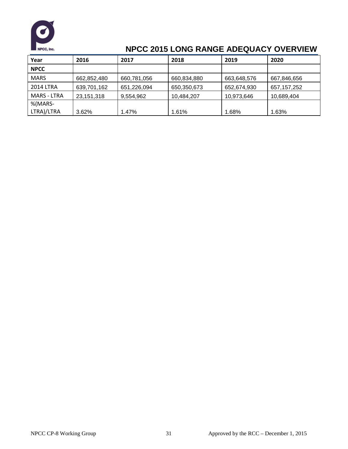

| Year        | 2016        | 2017        | 2018        | 2019        | 2020          |
|-------------|-------------|-------------|-------------|-------------|---------------|
| <b>NPCC</b> |             |             |             |             |               |
| <b>MARS</b> | 662,852,480 | 660,781,056 | 660,834,880 | 663,648,576 | 667,846,656   |
| 2014 LTRA   | 639,701,162 | 651,226,094 | 650,350,673 | 652,674,930 | 657, 157, 252 |
| MARS - LTRA | 23,151,318  | 9,554,962   | 10,484,207  | 10,973,646  | 10,689,404    |
| %(MARS-     |             |             |             |             |               |
| LTRA)/LTRA  | 3.62%       | 1.47%       | 1.61%       | l.68%       | 1.63%         |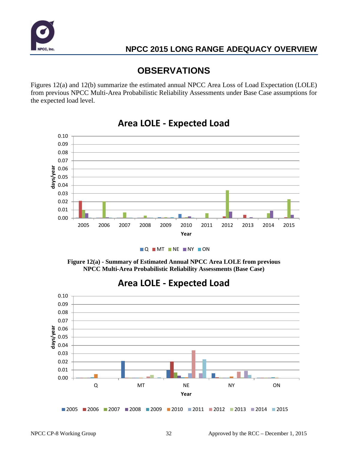

# **OBSERVATIONS**

Figures 12(a) and 12(b) summarize the estimated annual NPCC Area Loss of Load Expectation (LOLE) from previous NPCC Multi-Area Probabilistic Reliability Assessments under Base Case assumptions for the expected load level.



# **Area LOLE - Expected Load**



**Figure 12(a) - Summary of Estimated Annual NPCC Area LOLE from previous NPCC Multi-Area Probabilistic Reliability Assessments (Base Case)**



# **Area LOLE - Expected Load**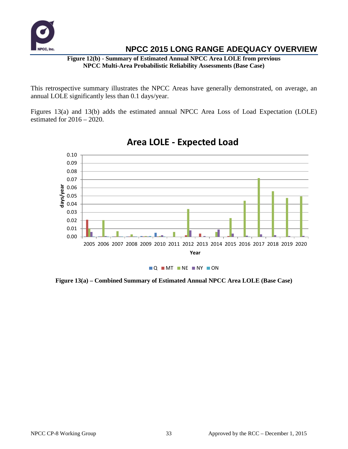

**Figure 12(b) - Summary of Estimated Annual NPCC Area LOLE from previous NPCC Multi-Area Probabilistic Reliability Assessments (Base Case)**

This retrospective summary illustrates the NPCC Areas have generally demonstrated, on average, an annual LOLE significantly less than 0.1 days/year.

Figures 13(a) and 13(b) adds the estimated annual NPCC Area Loss of Load Expectation (LOLE) estimated for  $2016 - 2020$ .



# **Area LOLE - Expected Load**

**Figure 13(a) – Combined Summary of Estimated Annual NPCC Area LOLE (Base Case)**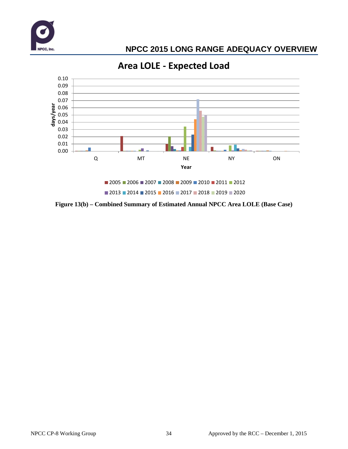



**Area LOLE - Expected Load**

**Figure 13(b) – Combined Summary of Estimated Annual NPCC Area LOLE (Base Case)**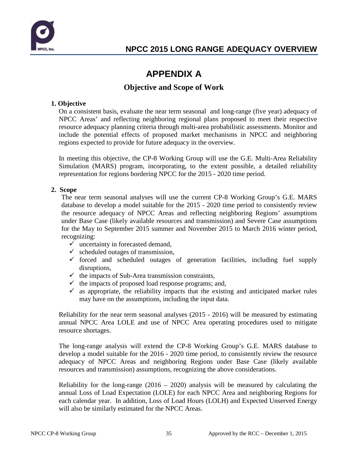

# **APPENDIX A**

### **Objective and Scope of Work**

### **1. Objective**

On a consistent basis, evaluate the near term seasonal and long-range (five year) adequacy of NPCC Areas' and reflecting neighboring regional plans proposed to meet their respective resource adequacy planning criteria through multi-area probabilistic assessments. Monitor and include the potential effects of proposed market mechanisms in NPCC and neighboring regions expected to provide for future adequacy in the overview.

In meeting this objective, the CP-8 Working Group will use the G.E. Multi-Area Reliability Simulation (MARS) program, incorporating, to the extent possible, a detailed reliability representation for regions bordering NPCC for the 2015 - 2020 time period.

### **2. Scope**

The near term seasonal analyses will use the current CP-8 Working Group's G.E. MARS database to develop a model suitable for the 2015 - 2020 time period to consistently review the resource adequacy of NPCC Areas and reflecting neighboring Regions' assumptions under Base Case (likely available resources and transmission) and Severe Case assumptions for the May to September 2015 summer and November 2015 to March 2016 winter period, recognizing:

- $\checkmark$  uncertainty in forecasted demand,
- $\checkmark$  scheduled outages of transmission,
- $\checkmark$  forced and scheduled outages of generation facilities, including fuel supply disruptions,
- $\checkmark$  the impacts of Sub-Area transmission constraints,
- $\checkmark$  the impacts of proposed load response programs; and,
- $\checkmark$  as appropriate, the reliability impacts that the existing and anticipated market rules may have on the assumptions, including the input data.

Reliability for the near term seasonal analyses (2015 - 2016) will be measured by estimating annual NPCC Area LOLE and use of NPCC Area operating procedures used to mitigate resource shortages.

The long-range analysis will extend the CP-8 Working Group's G.E. MARS database to develop a model suitable for the 2016 - 2020 time period, to consistently review the resource adequacy of NPCC Areas and neighboring Regions under Base Case (likely available resources and transmission) assumptions, recognizing the above considerations.

Reliability for the long-range  $(2016 - 2020)$  analysis will be measured by calculating the annual Loss of Load Expectation (LOLE) for each NPCC Area and neighboring Regions for each calendar year. In addition, Loss of Load Hours (LOLH) and Expected Unserved Energy will also be similarly estimated for the NPCC Areas.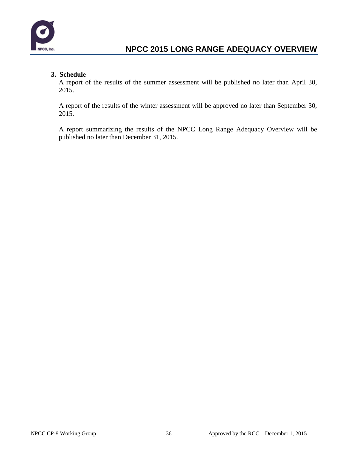

### **3. Schedule**

A report of the results of the summer assessment will be published no later than April 30, 2015.

A report of the results of the winter assessment will be approved no later than September 30, 2015.

A report summarizing the results of the NPCC Long Range Adequacy Overview will be published no later than December 31, 2015.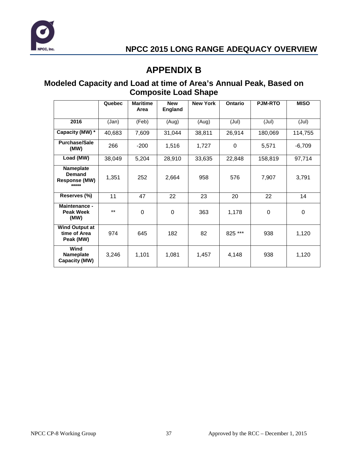

# **APPENDIX B**

### **Modeled Capacity and Load at time of Area's Annual Peak, Based on Composite Load Shape**

|                                                             | Quebec | <b>Maritime</b><br>Area | <b>New</b><br><b>England</b> | <b>New York</b> | Ontario  | <b>PJM-RTO</b> | <b>MISO</b> |
|-------------------------------------------------------------|--------|-------------------------|------------------------------|-----------------|----------|----------------|-------------|
| 2016                                                        | (Jan)  | (Feb)                   | (Aug)                        | (Aug)           | (Jul)    | (Jul)          | (Jul)       |
| Capacity (MW) *                                             | 40,683 | 7,609                   | 31,044                       | 38,811          | 26,914   | 180,069        | 114,755     |
| <b>Purchase/Sale</b><br>(MW)                                | 266    | $-200$                  | 1,516                        | 1,727           | $\Omega$ | 5,571          | $-6,709$    |
| Load (MW)                                                   | 38,049 | 5,204                   | 28,910                       | 33,635          | 22,848   | 158,819        | 97,714      |
| <b>Nameplate</b><br>Demand<br><b>Response (MW)</b><br>***** | 1,351  | 252                     | 2,664                        | 958             | 576      | 7,907          | 3,791       |
| Reserves (%)                                                | 11     | 47                      | 22                           | 23              | 20       | 22             | 14          |
| <b>Maintenance -</b><br><b>Peak Week</b><br>(MW)            | $***$  | $\mathbf 0$             | $\mathbf 0$                  | 363             | 1,178    | $\mathbf 0$    | $\mathbf 0$ |
| <b>Wind Output at</b><br>time of Area<br>Peak (MW)          | 974    | 645                     | 182                          | 82              | 825 ***  | 938            | 1,120       |
| Wind<br><b>Nameplate</b><br>Capacity (MW)                   | 3,246  | 1,101                   | 1,081                        | 1,457           | 4,148    | 938            | 1,120       |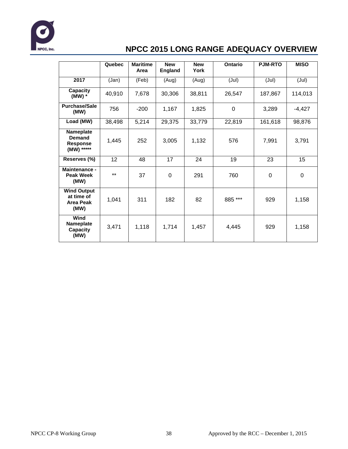

|                                                              | Quebec | <b>Maritime</b><br>Area | <b>New</b><br><b>England</b> | <b>New</b><br>Ontario<br>York |             | <b>PJM-RTO</b> | <b>MISO</b> |
|--------------------------------------------------------------|--------|-------------------------|------------------------------|-------------------------------|-------------|----------------|-------------|
| 2017                                                         | (Jan)  | (Feb)                   | (Aug)                        | (Aug)                         | (Jul)       | (Jul)          | (Jul)       |
| Capacity<br>$(MW)$ *                                         | 40,910 | 7,678                   | 30,306                       | 38,811                        | 26,547      | 187,867        | 114,013     |
| <b>Purchase/Sale</b><br>(MW)                                 | 756    | $-200$                  | 1,167                        | 1,825                         | $\mathbf 0$ | 3,289          | $-4,427$    |
| Load (MW)                                                    | 38,498 | 5,214                   | 29,375                       | 33,779                        | 22,819      | 161,618        | 98,876      |
| Nameplate<br>Demand<br><b>Response</b><br>(MW) *****         | 1,445  | 252                     | 3,005                        | 1,132                         | 576         | 7,991          | 3,791       |
| Reserves (%)                                                 | 12     | 48                      | 17                           | 24                            | 19          | 23             | 15          |
| Maintenance -<br><b>Peak Week</b><br>(MW)                    | $***$  | 37                      | 0                            | 291                           | 760         | $\overline{0}$ | $\mathbf 0$ |
| <b>Wind Output</b><br>at time of<br><b>Area Peak</b><br>(MW) | 1,041  | 311                     | 182                          | 82                            | 885 ***     | 929            | 1,158       |
| Wind<br>Nameplate<br><b>Capacity</b><br>(MW)                 | 3,471  | 1,118                   | 1,714                        | 1,457                         | 4,445       | 929            | 1,158       |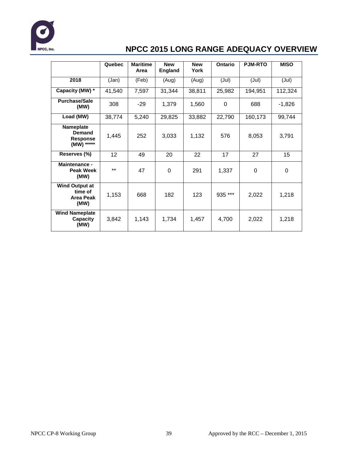

|                                                       | Quebec | <b>Maritime</b><br>Area | <b>New</b><br><b>England</b> | <b>New</b><br>York | Ontario  | <b>PJM-RTO</b> | <b>MISO</b> |
|-------------------------------------------------------|--------|-------------------------|------------------------------|--------------------|----------|----------------|-------------|
| 2018                                                  | (Jan)  | (Feb)                   | (Aug)                        | (Aug)              | (Jul)    | (Jul)          | (Jul)       |
| Capacity (MW) *                                       | 41,540 | 7,597                   | 31,344                       | 38,811             | 25,982   | 194,951        | 112,324     |
| <b>Purchase/Sale</b><br>(MW)                          | 308    | $-29$                   | 1,379                        | 1,560              | $\Omega$ | 688            | $-1,826$    |
| Load (MW)                                             | 38,774 | 5,240                   | 29,825                       | 33,882             | 22,790   | 160,173        | 99,744      |
| Nameplate<br>Demand<br><b>Response</b><br>(MW) *****  | 1,445  | 252                     | 3,033                        | 1,132              | 576      | 8,053          | 3,791       |
| Reserves (%)                                          | 12     | 49                      | 20                           | 22                 | 17       | 27             | 15          |
| <b>Maintenance -</b><br>Peak Week<br>(MW)             | $***$  | 47                      | 0                            | 291                | 1,337    | 0              | 0           |
| <b>Wind Output at</b><br>time of<br>Area Peak<br>(MW) | 1,153  | 668                     | 182                          | 123                | 935 ***  | 2,022          | 1,218       |
| <b>Wind Nameplate</b><br>Capacity<br>(MW)             | 3,842  | 1,143                   | 1,734                        | 1,457              | 4,700    | 2,022          | 1,218       |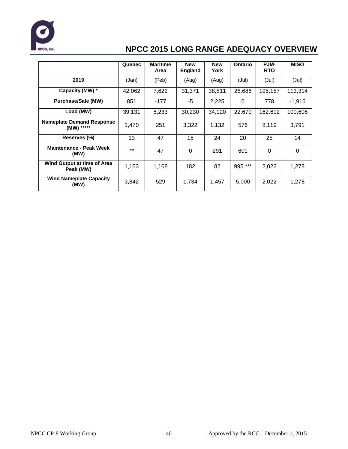

|                                                | Quebec | <b>Maritime</b> | <b>New</b> | <b>New</b> | <b>Ontario</b> | PJM-       | <b>MISO</b> |
|------------------------------------------------|--------|-----------------|------------|------------|----------------|------------|-------------|
|                                                |        | Area            | England    | York       |                | <b>RTO</b> |             |
| 2019                                           | (Jan)  | (Feb)           | (Aug)      | (Aug)      | (Jul)          | (Jul)      | (Jul)       |
| Capacity (MW) *                                | 42,062 | 7,622           | 31,371     | 38,811     | 26,686         | 195,157    | 113,314     |
| <b>Purchase/Sale (MW)</b>                      | 851    | $-177$          | -5         | 2,225      | $\Omega$       | 778        | $-1,916$    |
| Load (MW)                                      | 39,131 | 5,233           | 30,230     | 34,120     | 22,670         | 162,612    | 100,606     |
| <b>Nameplate Demand Response</b><br>(MW) ***** | 1,470  | 251             | 3,322      | 1,132      | 576            | 8,119      | 3,791       |
| Reserves (%)                                   | 13     | 47              | 15         | 24         | 20             | 25         | 14          |
| <b>Maintenance - Peak Week</b><br>(MW)         | $***$  | 47              | $\Omega$   | 291        | 601            | 0          | $\Omega$    |
| Wind Output at time of Area<br>Peak (MW)       | 1,153  | 1,168           | 182        | 82         | 995 ***        | 2,022      | 1,278       |
| <b>Wind Nameplate Capacity</b><br>(MW)         | 3,842  | 529             | 1,734      | 1,457      | 5,000          | 2,022      | 1,278       |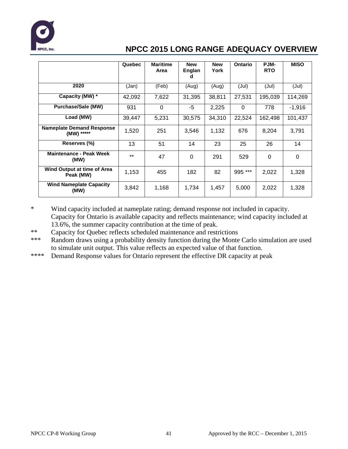

|                                                | Quebec | <b>Maritime</b><br>Area | <b>New</b><br>Englan<br>a | <b>New</b><br>York | <b>Ontario</b> | PJM-<br><b>RTO</b> | <b>MISO</b> |
|------------------------------------------------|--------|-------------------------|---------------------------|--------------------|----------------|--------------------|-------------|
| 2020                                           | (Jan)  | (Feb)                   | (Aug)                     | (Aug)              | (Jul)          | (Jul)              | (Jul)       |
| Capacity (MW) *                                | 42,092 | 7,622                   | 31,395                    | 38,811             | 27,531         | 195,039            | 114,269     |
| <b>Purchase/Sale (MW)</b>                      | 931    | 0                       | -5                        | 2,225              | $\Omega$       | 778                | $-1,916$    |
| Load (MW)                                      | 39,447 | 5.231                   | 30,575                    | 34,310             | 22,524         | 162,498            | 101,437     |
| <b>Nameplate Demand Response</b><br>(MW) ***** | 1,520  | 251                     | 3,546                     | 1,132              | 676            | 8.204              | 3,791       |
| Reserves (%)                                   | 13     | 51                      | 14                        | 23                 | 25             | 26                 | 14          |
| <b>Maintenance - Peak Week</b><br>(MW)         | $***$  | 47                      | 0                         | 291                | 529            | $\Omega$           | 0           |
| Wind Output at time of Area<br>Peak (MW)       | 1,153  | 455                     | 182                       | 82                 | 995 ***        | 2,022              | 1,328       |
| <b>Wind Nameplate Capacity</b><br>(MW)         | 3,842  | 1,168                   | 1,734                     | 1,457              | 5,000          | 2,022              | 1,328       |

\* Wind capacity included at nameplate rating; demand response not included in capacity. Capacity for Ontario is available capacity and reflects maintenance; wind capacity included at 13.6%, the summer capacity contribution at the time of peak.

- \*\* Capacity for Quebec reflects scheduled maintenance and restrictions
- \*\*\* Random draws using a probability density function during the Monte Carlo simulation are used to simulate unit output. This value reflects an expected value of that function.
- \*\*\*\* Demand Response values for Ontario represent the effective DR capacity at peak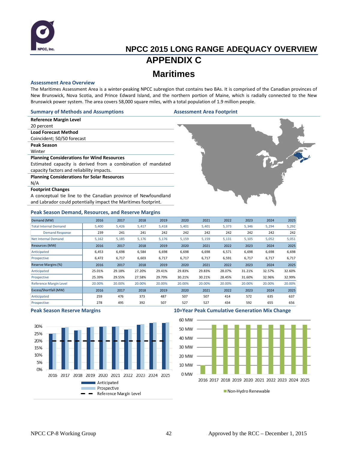

# **NPCC 2015 LONG RANGE ADEQUACY OVERVIEW APPENDIX C Maritimes**

#### **Assessment Area Overview**

The Maritimes Assessment Area is a winter-peaking NPCC subregion that contains two BAs. It is comprised of the Canadian provinces of New Brunswick, Nova Scotia, and Prince Edward Island, and the northern portion of Maine, which is radially connected to the New Brunswick power system. The area covers 58,000 square miles, with a total population of 1.9 million people.

#### **Summary of Methods and Assumptions Assessment Area Footprint**

**Reference Margin Level** 20 percent

**Load Forecast Method**

### Coincident; 50/50 forecast

**Peak Season**

#### Winter

#### **Planning Considerations for Wind Resources**

Estimated capacity is derived from a combination of mandated capacity factors and reliability impacts.

#### **Planning Considerations for Solar Resources**

N/A

#### **Footprint Changes**

A conceptual tie line to the Canadian province of Newfoundland and Labrador could potentially impact the Maritimes footprint.

#### **Peak Season Demand, Resources, and Reserve Margins**

| Demand (MW)                   | 2016   | 2017   | 2018   | 2019   | 2020   | 2021   | 2022   | 2023   | 2024   | 2025   |
|-------------------------------|--------|--------|--------|--------|--------|--------|--------|--------|--------|--------|
| <b>Total Internal Demand</b>  | 5,400  | 5,426  | 5,417  | 5,418  | 5,401  | 5,401  | 5,373  | 5,346  | 5,294  | 5,292  |
| <b>Demand Response</b>        | 239    | 241    | 241    | 242    | 242    | 242    | 242    | 242    | 242    | 242    |
| <b>Net Internal Demand</b>    | 5,162  | 5,185  | 5,176  | 5,176  | 5,159  | 5,159  | 5,131  | 5,105  | 5,052  | 5,051  |
| Resources (MW)                | 2016   | 2017   | 2018   | 2019   | 2020   | 2021   | 2022   | 2023   | 2024   | 2025   |
| Anticipated                   | 6,453  | 6,698  | 6,584  | 6,698  | 6,698  | 6,698  | 6,571  | 6,698  | 6,698  | 6,698  |
| Prospective                   | 6,472  | 6,717  | 6,603  | 6,717  | 6,717  | 6,717  | 6,591  | 6,717  | 6,717  | 6,717  |
| Reserve Margins (%)           | 2016   | 2017   | 2018   | 2019   | 2020   | 2021   | 2022   | 2023   | 2024   | 2025   |
| Anticipated                   | 25.01% | 29.18% | 27.20% | 29.41% | 29.83% | 29.83% | 28.07% | 31.21% | 32.57% | 32.60% |
| Prospective                   | 25.39% | 29.55% | 27.58% | 29.79% | 30.21% | 30.21% | 28.45% | 31.60% | 32.96% | 32.99% |
| <b>Reference Margin Level</b> | 20.00% | 20.00% | 20.00% | 20.00% | 20.00% | 20.00% | 20.00% | 20.00% | 20.00% | 20.00% |
| Excess/Shortfall (MW)         | 2016   | 2017   | 2018   | 2019   | 2020   | 2021   | 2022   | 2023   | 2024   | 2025   |
| Anticipated                   | 259    | 476    | 373    | 487    | 507    | 507    | 414    | 572    | 635    | 637    |
| Prospective                   | 278    | 495    | 392    | 507    | 527    | 527    | 434    | 592    | 655    | 656    |



#### **Peak Season Reserve Margins 10=Year Peak Cumulative Generation Mix Change**

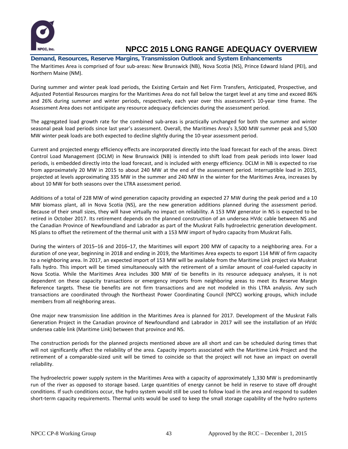

### **Demand, Resources, Reserve Margins, Transmission Outlook and System Enhancements**

The Maritimes Area is comprised of four sub-areas: New Brunswick (NB), Nova Scotia (NS), Prince Edward Island (PEI), and Northern Maine (NM).

During summer and winter peak load periods, the Existing Certain and Net Firm Transfers, Anticipated, Prospective, and Adjusted Potential Resources margins for the Maritimes Area do not fall below the target level at any time and exceed 86% and 26% during summer and winter periods, respectively, each year over this assessment's 10-year time frame. The Assessment Area does not anticipate any resource adequacy deficiencies during the assessment period.

The aggregated load growth rate for the combined sub-areas is practically unchanged for both the summer and winter seasonal peak load periods since last year's assessment. Overall, the Maritimes Area's 3,500 MW summer peak and 5,500 MW winter peak loads are both expected to decline slightly during the 10-year assessment period.

Current and projected energy efficiency effects are incorporated directly into the load forecast for each of the areas. Direct Control Load Management (DCLM) in New Brunswick (NB) is intended to shift load from peak periods into lower load periods, is embedded directly into the load forecast, and is included with energy efficiency. DCLM in NB is expected to rise from approximately 20 MW in 2015 to about 240 MW at the end of the assessment period. Interruptible load in 2015, projected at levels approximating 335 MW in the summer and 240 MW in the winter for the Maritimes Area, increases by about 10 MW for both seasons over the LTRA assessment period.

Additions of a total of 228 MW of wind generation capacity providing an expected 27 MW during the peak period and a 10 MW biomass plant, all in Nova Scotia (NS), are the new generation additions planned during the assessment period. Because of their small sizes, they will have virtually no impact on reliability. A 153 MW generator in NS is expected to be retired in October 2017. Its retirement depends on the planned construction of an undersea HVdc cable between NS and the Canadian Province of Newfoundland and Labrador as part of the Muskrat Falls hydroelectric generation development. NS plans to offset the retirement of the thermal unit with a 153 MW import of hydro capacity from Muskrat Falls.

During the winters of 2015–16 and 2016–17, the Maritimes will export 200 MW of capacity to a neighboring area. For a duration of one year, beginning in 2018 and ending in 2019, the Maritimes Area expects to export 114 MW of firm capacity to a neighboring area. In 2017, an expected import of 153 MW will be available from the Maritime Link project via Muskrat Falls hydro. This import will be timed simultaneously with the retirement of a similar amount of coal-fueled capacity in Nova Scotia. While the Maritimes Area includes 300 MW of tie benefits in its resource adequacy analyses, it is not dependent on these capacity transactions or emergency imports from neighboring areas to meet its Reserve Margin Reference targets. These tie benefits are not firm transactions and are not modeled in this LTRA analysis. Any such transactions are coordinated through the Northeast Power Coordinating Council (NPCC) working groups, which include members from all neighboring areas.

One major new transmission line addition in the Maritimes Area is planned for 2017. Development of the Muskrat Falls Generation Project in the Canadian province of Newfoundland and Labrador in 2017 will see the installation of an HVdc undersea cable link (Maritime Link) between that province and NS.

The construction periods for the planned projects mentioned above are all short and can be scheduled during times that will not significantly affect the reliability of the area. Capacity imports associated with the Maritime Link Project and the retirement of a comparable-sized unit will be timed to coincide so that the project will not have an impact on overall reliability.

The hydroelectric power supply system in the Maritimes Area with a capacity of approximately 1,330 MW is predominantly run of the river as opposed to storage based. Large quantities of energy cannot be held in reserve to stave off drought conditions. If such conditions occur, the hydro system would still be used to follow load in the area and respond to sudden short-term capacity requirements. Thermal units would be used to keep the small storage capability of the hydro systems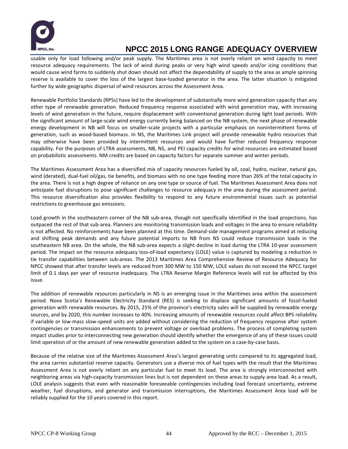

usable only for load following and/or peak supply. The Maritimes area is not overly reliant on wind capacity to meet resource adequacy requirements. The lack of wind during peaks or very high wind speeds and/or icing conditions that would cause wind farms to suddenly shut down should not affect the dependability of supply to the area as ample spinning reserve is available to cover the loss of the largest base-loaded generator in the area. The latter situation is mitigated further by wide geographic dispersal of wind resources across the Assessment Area.

Renewable Portfolio Standards (RPSs) have led to the development of substantially more wind generation capacity than any other type of renewable generation. Reduced frequency response associated with wind generation may, with increasing levels of wind generation in the future, require displacement with conventional generation during light load periods. With the significant amount of large-scale wind energy currently being balanced on the NB system, the next phase of renewable energy development in NB will focus on smaller-scale projects with a particular emphasis on nonintermittent forms of generation, such as wood-based biomass. In NS, the Maritimes Link project will provide renewable hydro resources that may otherwise have been provided by intermittent resources and would have further reduced frequency response capability. For the purposes of LTRA assessments, NB, NS, and PEI capacity credits for wind resources are estimated based on probabilistic assessments. NM credits are based on capacity factors for separate summer and winter periods.

The Maritimes Assessment Area has a diversified mix of capacity resources fueled by oil, coal, hydro, nuclear, natural gas, wind (derated), dual-fuel oil/gas, tie benefits, and biomass with no one type feeding more than 26% of the total capacity in the area. There is not a high degree of reliance on any one type or source of fuel. The Maritimes Assessment Area does not anticipate fuel disruptions to pose significant challenges to resource adequacy in the area during the assessment period. This resource diversification also provides flexibility to respond to any future environmental issues such as potential restrictions to greenhouse gas emissions.

Load growth in the southeastern corner of the NB sub-area, though not specifically identified in the load projections, has outpaced the rest of that sub-area. Planners are monitoring transmission loads and voltages in the area to ensure reliability is not affected. No reinforcements have been planned at this time. Demand-side management programs aimed at reducing and shifting peak demands and any future potential imports to NB from NS could reduce transmission loads in the southeastern NB area. On the whole, the NB sub-area expects a slight decline in load during the LTRA 10-year assessment period. The impact on the resource adequacy loss-of-load expectancy (LOLE) value is captured by modeling a reduction in tie transfer capabilities between sub-areas. The 2013 Maritimes Area Comprehensive Review of Resource Adequacy for NPCC showed that after transfer levels are reduced from 300 MW to 150 MW, LOLE values do not exceed the NPCC target limit of 0.1 days per year of resource inadequacy. The LTRA Reserve Margin Reference levels will not be affected by this issue.

The addition of renewable resources particularly in NS is an emerging issue in the Maritimes area within the assessment period. Nova Scotia's Renewable Electricity Standard (RES) is seeking to displace significant amounts of fossil-fueled generation with renewable resources. By 2015, 25% of the province's electricity sales will be supplied by renewable energy sources, and by 2020, this number increases to 40%. Increasing amounts of renewable resources could affect BPS reliability if variable or low-mass slow-speed units are added without considering the reduction of frequency response after system contingencies or transmission enhancements to prevent voltage or overload problems. The process of completing system impact studies prior to interconnecting new generation should identify whether the emergence of any of these issues could limit operation of or the amount of new renewable generation added to the system on a case-by-case basis.

Because of the relative size of the Maritimes Assessment Area's largest generating units compared to its aggregated load, the area carries substantial reserve capacity. Generators use a diverse mix of fuel types with the result that the Maritimes Assessment Area is not overly reliant on any particular fuel to meet its load. The area is strongly interconnected with neighboring areas via high-capacity transmission lines but is not dependent on these areas to supply area load. As a result, LOLE analysis suggests that even with reasonable foreseeable contingencies including load forecast uncertainty, extreme weather, fuel disruptions, and generator and transmission interruptions, the Maritimes Assessment Area load will be reliably supplied for the 10 years covered in this report.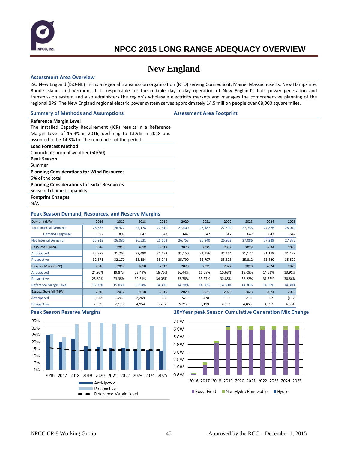

### **New England**

#### **Assessment Area Overview**

ISO New England (ISO-NE) Inc. is a regional transmission organization (RTO) serving Connecticut, Maine, Massachusetts, New Hampshire, Rhode Island, and Vermont. It is responsible for the reliable day-to-day operation of New England's bulk power generation and transmission system and also administers the region's wholesale electricity markets and manages the comprehensive planning of the regional BPS. The New England regional electric power system serves approximately 14.5 million people over 68,000 square miles.

#### **Summary of Methods and Assumptions Assessment Area Footprint**

### **Reference Margin Level**

The Installed Capacity Requirement (ICR) results in a Reference Margin Level of 15.9% in 2016, declining to 13.9% in 2018 and assumed to be 14.3% for the remainder of the period.

#### **Load Forecast Method**

Coincident; normal weather (50/50)

- **Peak Season**
- Summer

#### **Planning Considerations for Wind Resources**

5% of the total

**Planning Considerations for Solar Resources**

Seasonal claimed capability

**Footprint Changes**

N/A

#### **Peak Season Demand, Resources, and Reserve Margins**

| Demand (MW)                   | 2016   | 2017   | 2018   | 2019   | 2020   | 2021   | 2022   | 2023   | 2024   | 2025   |
|-------------------------------|--------|--------|--------|--------|--------|--------|--------|--------|--------|--------|
| <b>Total Internal Demand</b>  | 26,835 | 26,977 | 27,178 | 27,310 | 27,400 | 27,487 | 27,599 | 27,733 | 27,876 | 28,019 |
| <b>Demand Response</b>        | 922    | 897    | 647    | 647    | 647    | 647    | 647    | 647    | 647    | 647    |
| <b>Net Internal Demand</b>    | 25,913 | 26,080 | 26,531 | 26,663 | 26,753 | 26,840 | 26,952 | 27,086 | 27,229 | 27,372 |
| Resources (MW)                | 2016   | 2017   | 2018   | 2019   | 2020   | 2021   | 2022   | 2023   | 2024   | 2025   |
| Anticipated                   | 32,378 | 31,262 | 32,498 | 31,133 | 31,150 | 31,156 | 31,164 | 31,172 | 31,179 | 31,179 |
| Prospective                   | 32,571 | 32,170 | 35,184 | 35,743 | 35,790 | 35,797 | 35,805 | 35,812 | 35,820 | 35,820 |
| Reserve Margins (%)           | 2016   | 2017   | 2018   | 2019   | 2020   | 2021   | 2022   | 2023   | 2024   | 2025   |
| Anticipated                   | 24.95% | 19.87% | 22.49% | 16.76% | 16.44% | 16.08% | 15.63% | 15.09% | 14.51% | 13.91% |
| Prospective                   | 25.69% | 23.35% | 32.61% | 34.06% | 33.78% | 33.37% | 32.85% | 32.22% | 31.55% | 30.86% |
| <b>Reference Margin Level</b> | 15.91% | 15.03% | 13.94% | 14.30% | 14.30% | 14.30% | 14.30% | 14.30% | 14.30% | 14.30% |
| Excess/Shortfall (MW)         | 2016   | 2017   | 2018   | 2019   | 2020   | 2021   | 2022   | 2023   | 2024   | 2025   |
| Anticipated                   | 2,342  | 1,262  | 2,269  | 657    | 571    | 478    | 358    | 213    | 57     | (107)  |
| Prospective                   | 2,535  | 2,170  | 4,954  | 5,267  | 5,212  | 5,119  | 4,999  | 4,853  | 4,697  | 4,534  |



#### **Peak Season Reserve Margins 10=Year peak Season Cumulative Generation Mix Change**

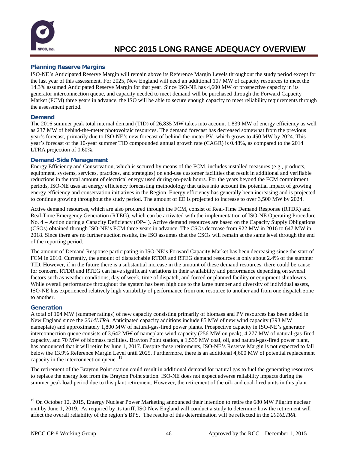

### **Planning Reserve Margins**

ISO-NE's Anticipated Reserve Margin will remain above its Reference Margin Levels throughout the study period except for the last year of this assessment. For 2025, New England will need an additional 107 MW of capacity resources to meet the 14.3% assumed Anticipated Reserve Margin for that year. Since ISO-NE has 4,600 MW of prospective capacity in its generator interconnection queue, and capacity needed to meet demand will be purchased through the Forward Capacity Market (FCM) three years in advance, the ISO will be able to secure enough capacity to meet reliability requirements through the assessment period.

### **Demand**

The 2016 summer peak total internal demand (TID) of 26,835 MW takes into account 1,839 MW of energy efficiency as well as 237 MW of behind-the-meter photovoltaic resources. The demand forecast has decreased somewhat from the previous year's forecast, primarily due to ISO-NE's new forecast of behind-the-meter PV, which grows to 450 MW by 2024. This year's forecast of the 10-year summer TID compounded annual growth rate (CAGR) is 0.48%, as compared to the 2014 LTRA projection of 0.60%.

### **Demand-Side Management**

Energy Efficiency and Conservation, which is secured by means of the FCM, includes installed measures (e.g., products, equipment, systems, services, practices, and strategies) on end-use customer facilities that result in additional and verifiable reductions in the total amount of electrical energy used during on-peak hours. For the years beyond the FCM commitment periods, ISO-NE uses an energy efficiency forecasting methodology that takes into account the potential impact of growing energy efficiency and conservation initiatives in the Region. Energy efficiency has generally been increasing and is projected to continue growing throughout the study period. The amount of EE is projected to increase to over 3,500 MW by 2024.

Active demand resources, which are also procured through the FCM, consist of Real-Time Demand Response (RTDR) and Real-Time Emergency Generation (RTEG), which can be activated with the implementation of ISO-NE Operating Procedure No. 4 – Action during a Capacity Deficiency (OP-4). Active demand resources are based on the Capacity Supply Obligations (CSOs) obtained through ISO-NE's FCM three years in advance. The CSOs decrease from 922 MW in 2016 to 647 MW in 2018. Since there are no further auction results, the ISO assumes that the CSOs will remain at the same level through the end of the reporting period.

The amount of Demand Response participating in ISO-NE's Forward Capacity Market has been decreasing since the start of FCM in 2010. Currently, the amount of dispatchable RTDR and RTEG demand resources is only about 2.4% of the summer TID. However, if in the future there is a substantial increase in the amount of these demand resources, there could be cause for concern. RTDR and RTEG can have significant variations in their availability and performance depending on several factors such as weather conditions, day of week, time of dispatch, and forced or planned facility or equipment shutdowns. While overall performance throughout the system has been high due to the large number and diversity of individual assets, ISO-NE has experienced relatively high variability of performance from one resource to another and from one dispatch zone to another.

### **Generation**

A total of 104 MW (summer ratings) of new capacity consisting primarily of biomass and PV resources has been added in New England since the *2014LTRA*. Anticipated capacity additions include 85 MW of new wind capacity (393 MW nameplate) and approximately 1,800 MW of natural-gas-fired power plants. Prospective capacity in ISO-NE's generator interconnection queue consists of 3,642 MW of nameplate wind capacity (256 MW on peak), 4,277 MW of natural-gas-fired capacity, and 70 MW of biomass facilities. Brayton Point station, a 1,535 MW coal, oil, and natural-gas-fired power plant, has announced that it will retire by June 1, 2017. Despite these retirements, ISO-NE's Reserve Margin is not expected to fall below the 13.9% Reference Margin Level until 2025. Furthermore, there is an additional 4,600 MW of potential replacement capacity in the interconnection queue. [19](#page-47-0)

The retirement of the Brayton Point station could result in additional demand for natural gas to fuel the generating resources to replace the energy lost from the Brayton Point station. ISO-NE does not expect adverse reliability impacts during the summer peak load period due to this plant retirement. However, the retirement of the oil- and coal-fired units in this plant

<span id="page-47-0"></span><sup>&</sup>lt;sup>19</sup> On October 12, 2015, Entergy Nuclear Power Marketing announced their intention to retire the 680 MW Pilgrim nuclear unit by June 1, 2019. As required by its tariff, ISO New England will conduct a study to determine how the retirement will affect the overall reliability of the region's BPS. The results of this determination will be reflected in the *2016LTRA.*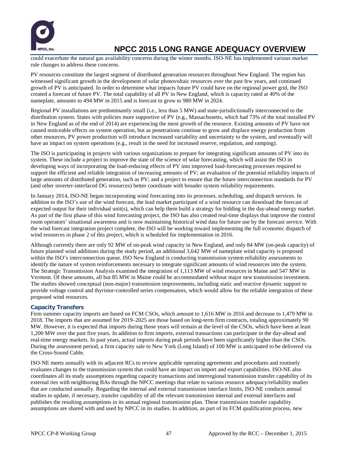

could exacerbate the natural gas availability concerns during the winter months. ISO-NE has implemented various market rule changes to address these concerns.

PV resources constitute the largest segment of distributed generation resources throughout New England. The region has witnessed significant growth in the development of solar photovoltaic resources over the past few years, and continued growth of PV is anticipated. In order to determine what impacts future PV could have on the regional power grid, the ISO created a forecast of future PV. The total capability of all PV in New England, which is capacity rated at 40% of the nameplate, amounts to 494 MW in 2015 and is forecast to grow to 980 MW in 2024.

Regional PV installations are predominantly small (i.e., less than 5 MW) and state-jurisdictionally interconnected to the distribution system. States with policies more supportive of PV (e.g., Massachusetts, which had 73% of the total installed PV in New England as of the end of 2014) are experiencing the most growth of the resource. Existing amounts of PV have not caused noticeable effects on system operation, but as penetrations continue to grow and displace energy production from other resources, PV power production will introduce increased variability and uncertainty to the system, and eventually will have an impact on system operations (e.g., result in the need for increased reserve, regulation, and ramping).

The ISO is participating in projects with various organizations to prepare for integrating significant amounts of PV into its system. These include a project to improve the state of the science of solar forecasting, which will assist the ISO in developing ways of incorporating the load-reducing effects of PV into improved load-forecasting processes required to support the efficient and reliable integration of increasing amounts of PV; an evaluation of the potential reliability impacts of large amounts of distributed generation, such as PV; and a project to ensure that the future interconnection standards for PV (and other inverter-interfaced DG resources) better coordinate with broader system reliability requirements.

In January 2014, ISO-NE began incorporating wind forecasting into its processes, scheduling, and dispatch services. In addition to the ISO's use of the wind forecast, the lead market participant of a wind resource can download the forecast of expected output for their individual unit(s), which can help them build a strategy for bidding in the day-ahead energy market. As part of the first phase of this wind forecasting project, the ISO has also created real-time displays that improve the control room operators' situational awareness and is now maintaining historical wind data for future use by the forecast service. With the wind forecast integration project complete, the ISO will be working toward implementing the full economic dispatch of wind resources in phase 2 of this project, which is scheduled for implementation in 2016.

Although currently there are only 92 MW of on-peak wind capacity in New England, and only 84 MW (on-peak capacity) of future planned wind additions during the study period, an additional 3,642 MW of nameplate wind capacity is proposed within the ISO's interconnection queue. ISO New England is conducting transmission system reliability assessments to identify the nature of system reinforcements necessary to integrate significant amounts of wind resources into the system. The Strategic Transmission Analysis examined the integration of 1,113 MW of wind resources in Maine and 547 MW in Vermont. Of these amounts, all but 85 MW in Maine could be accommodated without major new transmission investment. The studies showed conceptual (non-major) transmission improvements, including static and reactive dynamic support to provide voltage control and thyristor-controlled series compensators, which would allow for the reliable integration of these proposed wind resources.

### **Capacity Transfers**

Firm summer capacity imports are based on FCM CSOs, which amount to 1,616 MW in 2016 and decrease to 1,479 MW in 2018. The imports that are assumed for 2019–2025 are those based on long-term firm contracts, totaling approximately 90 MW. However, it is expected that imports during those years will remain at the level of the CSOs, which have been at least 1,200 MW over the past five years. In addition to firm imports, external transactions can participate in the day-ahead and real-time energy markets. In past years, actual imports during peak periods have been significantly higher than the CSOs. During the assessment period, a firm capacity sale to New York (Long Island) of 100 MW is anticipated to be delivered via the Cross-Sound Cable.

ISO‐NE meets annually with its adjacent RCs to review applicable operating agreements and procedures and routinely evaluates changes to the transmission system that could have an impact on import and export capabilities. ISO-NE also coordinates all its study assumptions regarding capacity transactions and interregional transmission transfer capability of its external ties with neighboring BAs through the NPCC meetings that relate to various resource adequacy/reliability studies that are conducted annually. Regarding the internal and external transmission interface limits, ISO-NE conducts annual studies to update, if necessary, transfer capability of all the relevant transmission internal and external interfaces and publishes the resulting assumptions in its annual regional transmission plan. These transmission transfer capability assumptions are shared with and used by NPCC in its studies. In addition, as part of its FCM qualification process, new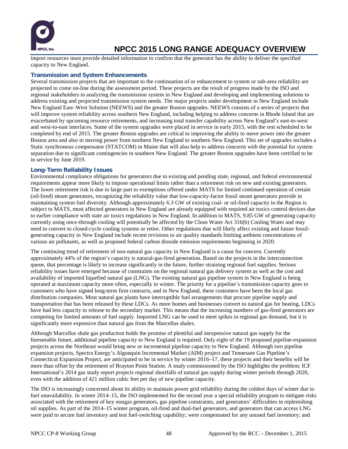

import resources must provide detailed information to confirm that the generator has the ability to deliver the specified capacity to New England.

#### **Transmission and System Enhancements**

Several transmission projects that are important to the continuation of or enhancement to system or sub-area reliability are projected to come on-line during the assessment period. These projects are the result of progress made by the ISO and regional stakeholders in analyzing the transmission system in New England and developing and implementing solutions to address existing and projected transmission system needs. The major projects under development in New England include New England East–West Solution (NEEWS) and the greater Boston upgrades. NEEWS consists of a series of projects that will improve system reliability across southern New England, including helping to address concerns in Rhode Island that are exacerbated by upcoming resource retirements, and increasing total transfer capability across New England's east-to-west and west-to-east interfaces. Some of the system upgrades were placed in service in early 2015, with the rest scheduled to be completed by end of 2015. The greater Boston upgrades are critical to improving the ability to move power into the greater Boston area and also in moving power from northern New England to southern New England. This set of upgrades includes a Static synchronous compensator (STATCOM) in Maine that will also help to address concerns with the potential for system separation due to significant contingencies in southern New England. The greater Boston upgrades have been certified to be in service by June 2019.

#### **Long-Term Reliability Issues**

Environmental compliance obligations for generators due to existing and pending state, regional, and federal environmental requirements appear more likely to impose operational limits rather than a retirement risk on new and existing generators. The lower retirement risk is due in large part to exemptions offered under MATS for limited continued operation of certain (oil-fired) steam generators, recognizing the reliability value that low-capacity-factor fossil steam generators provide in maintaining system fuel diversity. Although approximately 6.3 GW of existing coal- or oil-fired capacity in the Region is subject to MATS, most affected generators in New England are already equipped with required air toxics control devices due to earlier compliance with state air toxics regulations in New England. In addition to MATS, 9.85 GW of generating capacity currently using once-through cooling will potentially be affected by the Clean Water Act 316(b) Cooling Water and may need to convert to closed-cycle cooling systems or retire. Other regulations that will likely affect existing and future fossilgenerating capacity in New England include recent revisions to air quality standards limiting ambient concentrations of various air pollutants, as well as proposed federal carbon dioxide emission requirements beginning in 2020.

The continuing trend of retirement of non-natural gas capacity in New England is a cause for concern. Currently approximately 44% of the region's capacity is natural-gas-fired generation. Based on the projects in the interconnection queue, that percentage is likely to increase significantly in the future, further straining regional fuel supplies. Serious reliability issues have emerged because of constraints on the regional natural gas delivery system as well as the cost and availability of imported liquefied natural gas (LNG). The existing natural gas pipeline system in New England is being operated at maximum capacity more often, especially in winter. The priority for a pipeline's transmission capacity goes to customers who have signed long-term firm contracts, and in New England, these customers have been the local gas distribution companies. Most natural gas plants have interruptible fuel arrangements that procure pipeline supply and transportation that has been released by these LDCs. As more homes and businesses convert to natural gas for heating, LDCs have had less capacity to release to the secondary market. This means that the increasing numbers of gas-fired generators are competing for limited amounts of fuel supply. Imported LNG can be used to meet spikes in regional gas demand, but it is significantly more expensive than natural gas from the Marcellus shales.

Although Marcellus shale gas production holds the promise of plentiful and inexpensive natural gas supply for the foreseeable future, additional pipeline capacity to New England is required. Only eight of the 19 proposed pipeline-expansion projects across the Northeast would bring new or incremental pipeline capacity to New England. Although two pipeline expansion projects, Spectra Energy's Algonquin Incremental Market (AIM) project and Tennessee Gas Pipeline's Connecticut Expansion Project, are anticipated to be in service by winter 2016–17, these projects and their benefits will be more than offset by the retirement of Brayton Point Station. A study commissioned by the ISO highlights the problem; ICF International's 2014 gas study report projects regional shortfalls of natural gas supply during winter periods through 2020, even with the addition of 421 million cubic feet per day of new pipeline capacity.

The ISO is increasingly concerned about its ability to maintain power grid reliability during the coldest days of winter due to fuel unavailability. In winter 2014–15, the ISO implemented for the second year a special reliability program to mitigate risks associated with the retirement of key nongas generators, gas pipeline constraints, and generators' difficulties in replenishing oil supplies. As part of the 2014–15 winter program, oil-fired and dual-fuel generators, and generators that can access LNG were paid to secure fuel inventory and test fuel-switching capability; were compensated for any unused fuel inventory; and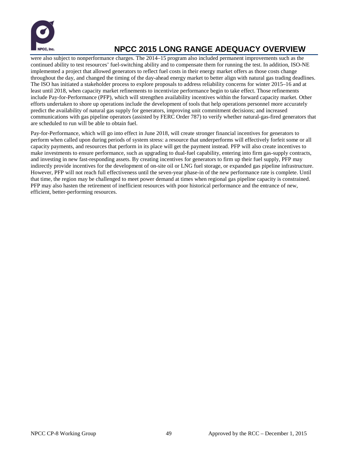

were also subject to nonperformance charges. The 2014–15 program also included permanent improvements such as the continued ability to test resources' fuel-switching ability and to compensate them for running the test. In addition, ISO-NE implemented a project that allowed generators to reflect fuel costs in their energy market offers as those costs change throughout the day, and changed the timing of the day-ahead energy market to better align with natural gas trading deadlines. The ISO has initiated a stakeholder process to explore proposals to address reliability concerns for winter 2015–16 and at least until 2018, when capacity market refinements to incentivize performance begin to take effect. Those refinements include Pay-for-Performance (PFP), which will strengthen availability incentives within the forward capacity market. Other efforts undertaken to shore up operations include the development of tools that help operations personnel more accurately predict the availability of natural gas supply for generators, improving unit commitment decisions; and increased communications with gas pipeline operators (assisted by FERC Order 787) to verify whether natural-gas-fired generators that are scheduled to run will be able to obtain fuel.

Pay-for-Performance, which will go into effect in June 2018, will create stronger financial incentives for generators to perform when called upon during periods of system stress: a resource that underperforms will effectively forfeit some or all capacity payments, and resources that perform in its place will get the payment instead. PFP will also create incentives to make investments to ensure performance, such as upgrading to dual-fuel capability, entering into firm gas-supply contracts, and investing in new fast-responding assets. By creating incentives for generators to firm up their fuel supply, PFP may indirectly provide incentives for the development of on-site oil or LNG fuel storage, or expanded gas pipeline infrastructure. However, PFP will not reach full effectiveness until the seven-year phase-in of the new performance rate is complete. Until that time, the region may be challenged to meet power demand at times when regional gas pipeline capacity is constrained. PFP may also hasten the retirement of inefficient resources with poor historical performance and the entrance of new, efficient, better-performing resources.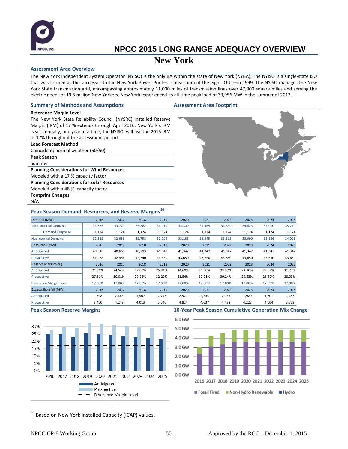

### **New York**

#### **Assessment Area Overview**

The New York Independent System Operator (NYISO) is the only BA within the state of New York (NYBA). The NYISO is a single-state ISO that was formed as the successor to the New York Power Pool—a consortium of the eight IOUs—in 1999. The NYISO manages the New York State transmission grid, encompassing approximately 11,000 miles of transmission lines over 47,000 square miles and serving the electric needs of 19.5 million New Yorkers. New York experienced its all-time peak load of 33,956 MW in the summer of 2013.

#### **Summary of Methods and Assumptions Assessment Area Footprint**

The New York State Reliability Council (NYSRC) Installed Reserve Margin (IRM) of 17 % extends through April 2016. New York's IRM is set annually, one year at a time, the NYISO will use the 2015 IRM of 17% throughout the assessment period

#### **Load Forecast Method**

**Reference Margin Level**

Coincident; normal weather (50/50)

**Peak Season**

Summer

**Planning Considerations for Wind Resources** Modeled with a 17 % capacity factor **Planning Considerations for Solar Resources**

Modeled with a 48 % capacity factor

**Footprint Changes**

N/A



### **Peak Season Demand, Resources, and Reserve Margins [20](#page-51-0)**

| Demand (MW)                   | 2016   | 2017   | 2018   | 2019   | 2020   | 2021   | 2022   | 2023   | 2024   | 2025   |
|-------------------------------|--------|--------|--------|--------|--------|--------|--------|--------|--------|--------|
| <b>Total Internal Demand</b>  | 33,636 | 33,779 | 33,882 | 34,119 | 34,309 | 34,469 | 34,639 | 34,823 | 35,010 | 35,219 |
| <b>Demand Response</b>        | 1,124  | 1,124  | 1,124  | 1,124  | 1,124  | 1,124  | 1,124  | 1,124  | 1,124  | 1,124  |
| <b>Net Internal Demand</b>    | 32,512 | 32,655 | 32,758 | 32,995 | 33,185 | 33,345 | 33,515 | 33,699 | 33,886 | 34,095 |
| Resources (MW)                | 2016   | 2017   | 2018   | 2019   | 2020   | 2021   | 2022   | 2023   | 2024   | 2025   |
| Anticipated                   | 40,546 | 40,669 | 40,293 | 41,347 | 41,347 | 41,347 | 41,347 | 41,347 | 41,347 | 41,347 |
| Prospective                   | 41,488 | 42,454 | 42,340 | 43,650 | 43,650 | 43,650 | 43,650 | 43,650 | 43,650 | 43,650 |
| Reserve Margins (%)           | 2016   | 2017   | 2018   | 2019   | 2020   | 2021   | 2022   | 2023   | 2024   | 2025   |
| Anticipated                   | 24.71% | 24.54% | 23.00% | 25.31% | 24.60% | 24.00% | 23.37% | 22.70% | 22.02% | 21.27% |
| Prospective                   | 27.61% | 30.01% | 29.25% | 32.29% | 31.54% | 30.91% | 30.24% | 29.53% | 28.82% | 28.03% |
| <b>Reference Margin Level</b> | 17.00% | 17.00% | 17.00% | 17.00% | 17.00% | 17.00% | 17.00% | 17.00% | 17.00% | 17.00% |
| Excess/Shortfall (MW)         | 2016   | 2017   | 2018   | 2019   | 2020   | 2021   | 2022   | 2023   | 2024   | 2025   |
| Anticipated                   | 2,508  | 2,463  | 1,967  | 2,743  | 2,521  | 2,334  | 2,135  | 1,920  | 1,701  | 1,456  |
| Prospective                   | 3,450  | 4,248  | 4,013  | 5,046  | 4,824  | 4,637  | 4,438  | 4,223  | 4,004  | 3,759  |



#### **Peak Season Reserve Margins 10-Year Peak Season Cumulative Generation Mix Change**



<span id="page-51-0"></span>20 Based on New York Installed Capacity (ICAP) values**.**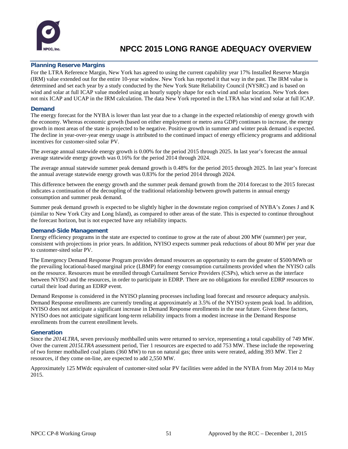

### **Planning Reserve Margins**

For the LTRA Reference Margin, New York has agreed to using the current capability year 17% Installed Reserve Margin (IRM) value extended out for the entire 10-year window. New York has reported it that way in the past. The IRM value is determined and set each year by a study conducted by the New York State Reliability Council (NYSRC) and is based on wind and solar at full ICAP value modeled using an hourly supply shape for each wind and solar location. New York does not mix ICAP and UCAP in the IRM calculation. The data New York reported in the LTRA has wind and solar at full ICAP.

### **Demand**

The energy forecast for the NYBA is lower than last year due to a change in the expected relationship of energy growth with the economy. Whereas economic growth (based on either employment or metro area GDP) continues to increase, the energy growth in most areas of the state is projected to be negative. Positive growth in summer and winter peak demand is expected. The decline in year-over-year energy usage is attributed to the continued impact of energy efficiency programs and additional incentives for customer-sited solar PV.

The average annual statewide energy growth is 0.00% for the period 2015 through 2025. In last year's forecast the annual average statewide energy growth was 0.16% for the period 2014 through 2024.

The average annual statewide summer peak demand growth is 0.48% for the period 2015 through 2025. In last year's forecast the annual average statewide energy growth was 0.83% for the period 2014 through 2024.

This difference between the energy growth and the summer peak demand growth from the 2014 forecast to the 2015 forecast indicates a continuation of the decoupling of the traditional relationship between growth patterns in annual energy consumption and summer peak demand.

Summer peak demand growth is expected to be slightly higher in the downstate region comprised of NYBA's Zones J and K (similar to New York City and Long Island), as compared to other areas of the state. This is expected to continue throughout the forecast horizon, but is not expected have any reliability impacts.

### **Demand-Side Management**

Energy efficiency programs in the state are expected to continue to grow at the rate of about 200 MW (summer) per year, consistent with projections in prior years. In addition, NYISO expects summer peak reductions of about 80 MW per year due to customer-sited solar PV.

The Emergency Demand Response Program provides demand resources an opportunity to earn the greater of \$500/MWh or the prevailing locational-based marginal price (LBMP) for energy consumption curtailments provided when the NYISO calls on the resource. Resources must be enrolled through Curtailment Service Providers (CSPs), which serve as the interface between NYISO and the resources, in order to participate in EDRP. There are no obligations for enrolled EDRP resources to curtail their load during an EDRP event.

Demand Response is considered in the NYISO planning processes including load forecast and resource adequacy analysis. Demand Response enrollments are currently trending at approximately at 3.5% of the NYISO system peak load. In addition, NYISO does not anticipate a significant increase in Demand Response enrollments in the near future. Given these factors, NYISO does not anticipate significant long-term reliability impacts from a modest increase in the Demand Response enrollments from the current enrollment levels.

### **Generation**

Since the *2014LTRA*, seven previously mothballed units were returned to service, representing a total capability of 749 MW. Over the current *2015LTRA* assessment period, Tier 1 resources are expected to add 753 MW. These include the repowering of two former mothballed coal plants (360 MW) to run on natural gas; three units were rerated, adding 393 MW. Tier 2 resources, if they come on-line, are expected to add 2,550 MW.

Approximately 125 MWdc equivalent of customer-sited solar PV facilities were added in the NYBA from May 2014 to May 2015.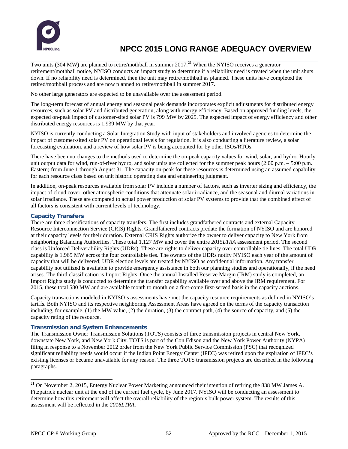

Two units (304 MW) are planned to retire/mothball in summer 2017.<sup>[21](#page-53-0)</sup> When the NYISO receives a generator retirement/mothball notice, NYISO conducts an impact study to determine if a reliability need is created when the unit shuts down. If no reliability need is determined, then the unit may retire/mothball as planned. These units have completed the retired/mothball process and are now planned to retire/mothball in summer 2017.

No other large generators are expected to be unavailable over the assessment period.

The long-term forecast of annual energy and seasonal peak demands incorporates explicit adjustments for distributed energy resources, such as solar PV and distributed generation, along with energy efficiency. Based on approved funding levels, the expected on-peak impact of customer-sited solar PV is 799 MW by 2025. The expected impact of energy efficiency and other distributed energy resources is 1,939 MW by that year.

NYISO is currently conducting a Solar Integration Study with input of stakeholders and involved agencies to determine the impact of customer-sited solar PV on operational levels for regulation. It is also conducting a literature review, a solar forecasting evaluation, and a review of how solar PV is being accounted for by other ISOs/RTOs.

There have been no changes to the methods used to determine the on-peak capacity values for wind, solar, and hydro. Hourly unit output data for wind, run-of-river hydro, and solar units are collected for the summer peak hours (2:00 p.m. – 5:00 p.m. Eastern) from June 1 through August 31. The capacity on-peak for these resources is determined using an assumed capability for each resource class based on unit historic operating data and engineering judgment.

In addition, on-peak resources available from solar PV include a number of factors, such as inverter sizing and efficiency, the impact of cloud cover, other atmospheric conditions that attenuate solar irradiance, and the seasonal and diurnal variations in solar irradiance. These are compared to actual power production of solar PV systems to provide that the combined effect of all factors is consistent with current levels of technology.

### **Capacity Transfers**

There are three classifications of capacity transfers. The first includes grandfathered contracts and external Capacity Resource Interconnection Service (CRIS) Rights. Grandfathered contracts predate the formation of NYISO and are honored at their capacity levels for their duration. External CRIS Rights authorize the owner to deliver capacity to New York from neighboring Balancing Authorities. These total 1,127 MW and cover the entire *2015LTRA* assessment period. The second class is Unforced Deliverability Rights (UDRs). These are rights to deliver capacity over controllable tie lines. The total UDR capability is 1,965 MW across the four controllable ties. The owners of the UDRs notify NYISO each year of the amount of capacity that will be delivered; UDR election levels are treated by NYISO as confidential information. Any transfer capability not utilized is available to provide emergency assistance in both our planning studies and operationally, if the need arises. The third classification is Import Rights. Once the annual Installed Reserve Margin (IRM) study is completed, an Import Rights study is conducted to determine the transfer capability available over and above the IRM requirement. For 2015, these total 580 MW and are available month to month on a first-come first-served basis in the capacity auctions.

Capacity transactions modeled in NYISO's assessments have met the capacity resource requirements as defined in NYISO's tariffs. Both NYISO and its respective neighboring Assessment Areas have agreed on the terms of the capacity transaction including, for example,  $(1)$  the MW value,  $(2)$  the duration,  $(3)$  the contract path,  $(4)$  the source of capacity, and  $(5)$  the capacity rating of the resource.

### **Transmission and System Enhancements**

The Transmission Owner Transmission Solutions (TOTS) consists of three transmission projects in central New York, downstate New York, and New York City. TOTS is part of the Con Edison and the New York Power Authority (NYPA) filing in response to a November 2012 order from the New York Public Service Commission (PSC) that recognized significant reliability needs would occur if the Indian Point Energy Center (IPEC) was retired upon the expiration of IPEC's existing licenses or became unavailable for any reason. The three TOTS transmission projects are described in the following paragraphs.

<span id="page-53-0"></span> $^{21}$  On November 2, 2015, Entergy Nuclear Power Marketing announced their intention of retiring the 838 MW James A. Fitzpatrick nuclear unit at the end of the current fuel cycle, by June 2017. NYISO will be conducting an assessment to determine how this retirement will affect the overall reliability of the region's bulk power system. The results of this assessment will be reflected in the *2016LTRA*.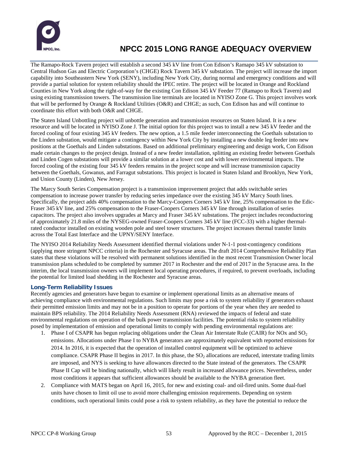

The Ramapo-Rock Tavern project will establish a second 345 kV line from Con Edison's Ramapo 345 kV substation to Central Hudson Gas and Electric Corporation's (CHGE) Rock Tavern 345 kV substation. The project will increase the import capability into Southeastern New York (SENY), including New York City, during normal and emergency conditions and will provide a partial solution for system reliability should the IPEC retire. The project will be located in Orange and Rockland Counties in New York along the right-of-way for the existing Con Edison 345 kV Feeder 77 (Ramapo to Rock Tavern) and using existing transmission towers. The transmission line terminals are located in NYISO Zone G. This project involves work that will be performed by Orange & Rockland Utilities (O&R) and CHGE; as such, Con Edison has and will continue to coordinate this effort with both O&R and CHGE.

The Staten Island Unbottling project will unbottle generation and transmission resources on Staten Island. It is a new resource and will be located in NYISO Zone J. The initial option for this project was to install a new 345 kV feeder and the forced cooling of four existing 345 kV feeders. The new option, a 1.5 mile feeder interconnecting the Goethals substation to the Linden substation, would mitigate a contingency within New York City by installing a new double leg feeder into new positions at the Goethals and Linden substations. Based on additional preliminary engineering and design work, Con Edison made certain changes to the project design. Instead of a new feeder installation, splitting an existing feeder between Goethals and Linden Cogen substations will provide a similar solution at a lower cost and with lower environmental impacts. The forced cooling of the existing four 345 kV feeders remains in the project scope and will increase transmission capacity between the Goethals, Gowanus, and Farragut substations. This project is located in Staten Island and Brooklyn, New York, and Union County (Linden), New Jersey.

The Marcy South Series Compensation project is a transmission improvement project that adds switchable series compensation to increase power transfer by reducing series impedance over the existing 345 kV Marcy South lines. Specifically, the project adds 40% compensation to the Marcy-Coopers Corners 345 kV line, 25% compensation to the Edic-Fraser 345 kV line, and 25% compensation to the Fraser-Coopers Corners 345 kV line through installation of series capacitors. The project also involves upgrades at Marcy and Fraser 345 kV substations. The project includes reconductoring of approximately 21.8 miles of the NYSEG-owned Fraser-Coopers Corners 345 kV line (FCC-33) with a higher thermalrated conductor installed on existing wooden pole and steel tower structures. The project increases thermal transfer limits across the Total East Interface and the UPNY/SENY Interface.

The NYISO 2014 Reliability Needs Assessment identified thermal violations under N-1-1 post-contingency conditions (applying more stringent NPCC criteria) in the Rochester and Syracuse areas. The draft 2014 Comprehensive Reliability Plan states that these violations will be resolved with permanent solutions identified in the most recent Transmission Owner local transmission plans scheduled to be completed by summer 2017 in Rochester and the end of 2017 in the Syracuse area. In the interim, the local transmission owners will implement local operating procedures, if required, to prevent overloads, including the potential for limited load shedding in the Rochester and Syracuse areas.

### **Long-Term Reliability Issues**

Recently agencies and generators have begun to examine or implement operational limits as an alternative means of achieving compliance with environmental regulations. Such limits may pose a risk to system reliability if generators exhaust their permitted emission limits and may not be in a position to operate for portions of the year when they are needed to maintain BPS reliability. The 2014 Reliability Needs Assessment (RNA) reviewed the impacts of federal and state environmental regulations on operation of the bulk power transmission facilities. The potential risks to system reliability posed by implementation of emission and operational limits to comply with pending environmental regulations are:

- 1. Phase I of CSAPR has begun replacing obligations under the Clean Air Interstate Rule (CAIR) for NOx and SO<sub>2</sub> emissions. Allocations under Phase I to NYBA generators are approximately equivalent with reported emissions for 2014. In 2016, it is expected that the operation of installed control equipment will be optimized to achieve compliance. CSAPR Phase II begins in 2017. In this phase, the  $SO<sub>2</sub>$  allocations are reduced, interstate trading limits are imposed, and NYS is seeking to have allowances directed to the State instead of the generators. The CSAPR Phase II Cap will be binding nationally, which will likely result in increased allowance prices. Nevertheless, under most conditions it appears that sufficient allowances should be available to the NYBA generation fleet.
- 2. Compliance with MATS began on April 16, 2015, for new and existing coal- and oil-fired units. Some dual-fuel units have chosen to limit oil use to avoid more challenging emission requirements. Depending on system conditions, such operational limits could pose a risk to system reliability, as they have the potential to reduce the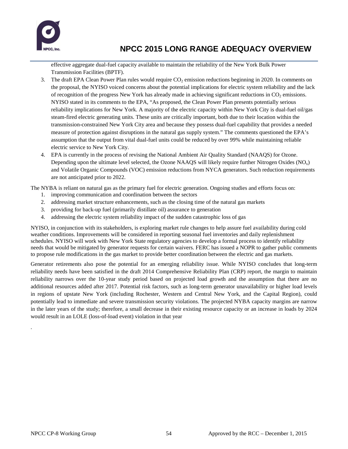

effective aggregate dual-fuel capacity available to maintain the reliability of the New York Bulk Power Transmission Facilities (BPTF).

- 3. The draft EPA Clean Power Plan rules would require  $CO<sub>2</sub>$  emission reductions beginning in 2020. In comments on the proposal, the NYISO voiced concerns about the potential implications for electric system reliability and the lack of recognition of the progress New York has already made in achieving significant reductions in  $CO<sub>2</sub>$  emissions. NYISO stated in its comments to the EPA, "As proposed, the Clean Power Plan presents potentially serious reliability implications for New York. A majority of the electric capacity within New York City is dual-fuel oil/gas steam-fired electric generating units. These units are critically important, both due to their location within the transmission-constrained New York City area and because they possess dual-fuel capability that provides a needed measure of protection against disruptions in the natural gas supply system." The comments questioned the EPA's assumption that the output from vital dual-fuel units could be reduced by over 99% while maintaining reliable electric service to New York City.
- 4. EPA is currently in the process of revising the National Ambient Air Quality Standard (NAAQS) for Ozone. Depending upon the ultimate level selected, the Ozone NAAQS will likely require further Nitrogen Oxides  $(NO<sub>x</sub>)$ and Volatile Organic Compounds (VOC) emission reductions from NYCA generators. Such reduction requirements are not anticipated prior to 2022.

The NYBA is reliant on natural gas as the primary fuel for electric generation. Ongoing studies and efforts focus on:

- 1. improving communication and coordination between the sectors
- 2. addressing market structure enhancements, such as the closing time of the natural gas markets
- 3. providing for back-up fuel (primarily distillate oil) assurance to generation
- 4. addressing the electric system reliability impact of the sudden catastrophic loss of gas

NYISO, in conjunction with its stakeholders, is exploring market rule changes to help assure fuel availability during cold weather conditions. Improvements will be considered in reporting seasonal fuel inventories and daily replenishment schedules. NYISO will work with New York State regulatory agencies to develop a formal process to identify reliability needs that would be mitigated by generator requests for certain waivers. FERC has issued a NOPR to gather public comments to propose rule modifications in the gas market to provide better coordination between the electric and gas markets.

Generator retirements also pose the potential for an emerging reliability issue. While NYISO concludes that long-term reliability needs have been satisfied in the draft 2014 Comprehensive Reliability Plan (CRP) report, the margin to maintain reliability narrows over the 10-year study period based on projected load growth and the assumption that there are no additional resources added after 2017. Potential risk factors, such as long-term generator unavailability or higher load levels in regions of upstate New York (including Rochester, Western and Central New York, and the Capital Region), could potentially lead to immediate and severe transmission security violations. The projected NYBA capacity margins are narrow in the later years of the study; therefore, a small decrease in their existing resource capacity or an increase in loads by 2024 would result in an LOLE (loss-of-load event) violation in that year

.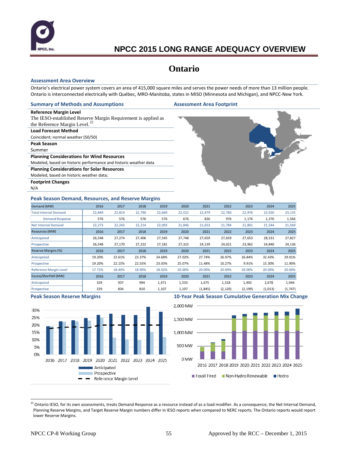

### **Ontario**

#### **Assessment Area Overview**

Ontario's electrical power system covers an area of 415,000 square miles and serves the power needs of more than 13 million people. Ontario is interconnected electrically with Québec, MRO-Manitoba, states in MISO (Minnesota and Michigan), and NPCC-New York.

#### **Summary of Methods and Assumptions Assessment Area Footprint**

#### **Reference Margin Level**

The IESO-established Reserve Margin Requirement is applied as the Reference Margin Level. $^{22}$  $^{22}$  $^{22}$ 

#### **Load Forecast Method**

Coincident; normal weather (50/50)

**Peak Season**

Summer

#### **Planning Considerations for Wind Resources**

Modeled, based on historic performance and historic weather data

**Planning Considerations for Solar Resources**

Modeled, based on historic weather data;

**Footprint Changes**

N/A

#### **Peak Season Demand, Resources, and Reserve Margins**



| Demand (MW)                   | 2016   | 2017   | 2018   | 2019   | 2020   | 2021     | 2022     | 2023     | 2024    | 2025     |
|-------------------------------|--------|--------|--------|--------|--------|----------|----------|----------|---------|----------|
| <b>Total Internal Demand</b>  | 22,849 | 22,819 | 22,790 | 22,669 | 22,522 | 22,479   | 22,760   | 22,976   | 22,920  | 23,135   |
| <b>Demand Response</b>        | 576    | 576    | 576    | 576    | 676    | 826      | 976      | 1,176    | 1,376   | 1,566    |
| <b>Net Internal Demand</b>    | 22,273 | 22,243 | 22,214 | 22,093 | 21,846 | 21,653   | 21,784   | 21,801   | 21,544  | 21,569   |
| Resources (MW)                | 2016   | 2017   | 2018   | 2019   | 2020   | 2021     | 2022     | 2023     | 2024    | 2025     |
| Anticipated                   | 26,548 | 27,274 | 27,406 | 27,545 | 27,748 | 27,659   | 27,659   | 27,653   | 28,531  | 27,827   |
| Prospective                   | 26,548 | 27,170 | 27,222 | 27,181 | 27,322 | 24,139   | 24,021   | 23,962   | 24,840  | 24,136   |
| Reserve Margins (%)           | 2016   | 2017   | 2018   | 2019   | 2020   | 2021     | 2022     | 2023     | 2024    | 2025     |
| Anticipated                   | 19.20% | 22.61% | 23.37% | 24.68% | 27.02% | 27.74%   | 26.97%   | 26.84%   | 32.43%  | 29.01%   |
| Prospective                   | 19.20% | 22.15% | 22.55% | 23.03% | 25.07% | 11.48%   | 10.27%   | 9.91%    | 15.30%  | 11.90%   |
| <b>Reference Margin Level</b> | 17.72% | 18.40% | 18.90% | 18.02% | 20.00% | 20.00%   | 20.00%   | 20.00%   | 20.00%  | 20.00%   |
| Excess/Shortfall (MW)         | 2016   | 2017   | 2018   | 2019   | 2020   | 2021     | 2022     | 2023     | 2024    | 2025     |
| Anticipated                   | 329    | 937    | 994    | 1,471  | 1,533  | 1,675    | 1,518    | 1,492    | 2,678   | 1,944    |
| Prospective                   | 329    | 834    | 810    | 1,107  | 1,107  | (1, 845) | (2, 120) | (2, 199) | (1,013) | (1, 747) |



#### **Peak Season Reserve Margins 10-Year Peak Season Cumulative Generation Mix Change**



<span id="page-56-0"></span> $^{22}$  Ontario IESO, for its own assessments, treats Demand Response as a resource instead of as a load modifier. As a consequence, the Net Internal Demand, Planning Reserve Margins, and Target Reserve Margin numbers differ in IESO reports when compared to NERC reports. The Ontario reports would report lower Reserve Margins.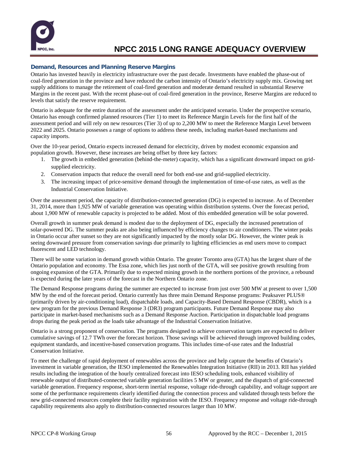

### **Demand, Resources and Planning Reserve Margins**

Ontario has invested heavily in electricity infrastructure over the past decade. Investments have enabled the phase-out of coal-fired generation in the province and have reduced the carbon intensity of Ontario's electricity supply mix. Growing net supply additions to manage the retirement of coal-fired generation and moderate demand resulted in substantial Reserve Margins in the recent past. With the recent phase-out of coal-fired generation in the province, Reserve Margins are reduced to levels that satisfy the reserve requirement.

Ontario is adequate for the entire duration of the assessment under the anticipated scenario. Under the prospective scenario, Ontario has enough confirmed planned resources (Tier 1) to meet its Reference Margin Levels for the first half of the assessment period and will rely on new resources (Tier 3) of up to 2,200 MW to meet the Reference Margin Level between 2022 and 2025. Ontario possesses a range of options to address these needs, including market-based mechanisms and capacity imports.

Over the 10-year period, Ontario expects increased demand for electricity, driven by modest economic expansion and population growth. However, these increases are being offset by three key factors:

- 1. The growth in embedded generation (behind-the-meter) capacity, which has a significant downward impact on gridsupplied electricity.
- 2. Conservation impacts that reduce the overall need for both end-use and grid-supplied electricity.
- 3. The increasing impact of price-sensitive demand through the implementation of time-of-use rates, as well as the Industrial Conservation Initiative.

Over the assessment period, the capacity of distribution-connected generation (DG) is expected to increase. As of December 31, 2014, more than 1,925 MW of variable generation was operating within distribution systems. Over the forecast period, about 1,900 MW of renewable capacity is projected to be added. Most of this embedded generation will be solar powered.

Overall growth in summer peak demand is modest due to the deployment of DG, especially the increased penetration of solar-powered DG. The summer peaks are also being influenced by efficiency changes to air conditioners. The winter peaks in Ontario occur after sunset so they are not significantly impacted by the mostly solar DG. However, the winter peak is seeing downward pressure from conservation savings due primarily to lighting efficiencies as end users move to compact fluorescent and LED technology.

There will be some variation in demand growth within Ontario. The greater Toronto area (GTA) has the largest share of the Ontario population and economy. The Essa zone, which lies just north of the GTA, will see positive growth resulting from ongoing expansion of the GTA. Primarily due to expected mining growth in the northern portions of the province, a rebound is expected during the later years of the forecast in the Northern Ontario zone.

The Demand Response programs during the summer are expected to increase from just over 500 MW at present to over 1,500 MW by the end of the forecast period. Ontario currently has three main Demand Response programs: Peaksaver PLUS® (primarily driven by air-conditioning load), dispatchable loads, and Capacity-Based Demand Response (CBDR), which is a new program for the previous Demand Response 3 (DR3) program participants. Future Demand Response may also participate in market-based mechanisms such as a Demand Response Auction. Participation in dispatchable load programs drops during the peak period as the loads take advantage of the Industrial Conservation Initiative.

Ontario is a strong proponent of conservation. The programs designed to achieve conservation targets are expected to deliver cumulative savings of 12.7 TWh over the forecast horizon. Those savings will be achieved through improved building codes, equipment standards, and incentive-based conservation programs. This includes time-of-use rates and the Industrial Conservation Initiative.

To meet the challenge of rapid deployment of renewables across the province and help capture the benefits of Ontario's investment in variable generation, the IESO implemented the Renewables Integration Initiative (RII) in 2013. RII has yielded results including the integration of the hourly centralized forecast into IESO scheduling tools, enhanced visibility of renewable output of distributed-connected variable generation facilities 5 MW or greater, and the dispatch of grid-connected variable generation. Frequency response, short-term inertial response, voltage ride-through capability, and voltage support are some of the performance requirements clearly identified during the connection process and validated through tests before the new grid-connected resources complete their facility registration with the IESO. Frequency response and voltage ride-through capability requirements also apply to distribution-connected resources larger than 10 MW.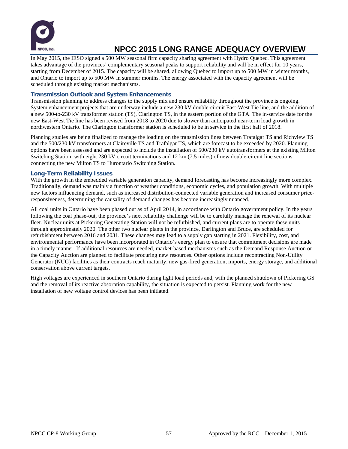

In May 2015, the IESO signed a 500 MW seasonal firm capacity sharing agreement with Hydro Quebec. This agreement takes advantage of the provinces' complementary seasonal peaks to support reliability and will be in effect for 10 years, starting from December of 2015. The capacity will be shared, allowing Quebec to import up to 500 MW in winter months, and Ontario to import up to 500 MW in summer months. The energy associated with the capacity agreement will be scheduled through existing market mechanisms.

### **Transmission Outlook and System Enhancements**

Transmission planning to address changes to the supply mix and ensure reliability throughout the province is ongoing. System enhancement projects that are underway include a new 230 kV double-circuit East-West Tie line, and the addition of a new 500-to-230 kV transformer station (TS), Clarington TS, in the eastern portion of the GTA. The in-service date for the new East-West Tie line has been revised from 2018 to 2020 due to slower than anticipated near-term load growth in northwestern Ontario. The Clarington transformer station is scheduled to be in service in the first half of 2018.

Planning studies are being finalized to manage the loading on the transmission lines between Trafalgar TS and Richview TS and the 500/230 kV transformers at Claireville TS and Trafalgar TS, which are forecast to be exceeded by 2020. Planning options have been assessed and are expected to include the installation of 500/230 kV autotransformers at the existing Milton Switching Station, with eight 230 kV circuit terminations and 12 km (7.5 miles) of new double-circuit line sections connecting the new Milton TS to Hurontario Switching Station.

### **Long-Term Reliability Issues**

With the growth in the embedded variable generation capacity, demand forecasting has become increasingly more complex. Traditionally, demand was mainly a function of weather conditions, economic cycles, and population growth. With multiple new factors influencing demand, such as increased distribution-connected variable generation and increased consumer priceresponsiveness, determining the causality of demand changes has become increasingly nuanced.

All coal units in Ontario have been phased out as of April 2014, in accordance with Ontario government policy. In the years following the coal phase-out, the province's next reliability challenge will be to carefully manage the renewal of its nuclear fleet. Nuclear units at Pickering Generating Station will not be refurbished, and current plans are to operate these units through approximately 2020. The other two nuclear plants in the province, Darlington and Bruce, are scheduled for refurbishment between 2016 and 2031. These changes may lead to a supply gap starting in 2021. Flexibility, cost, and environmental performance have been incorporated in Ontario's energy plan to ensure that commitment decisions are made in a timely manner. If additional resources are needed, market-based mechanisms such as the Demand Response Auction or the Capacity Auction are planned to facilitate procuring new resources. Other options include recontracting Non-Utility Generator (NUG) facilities as their contracts reach maturity, new gas-fired generation, imports, energy storage, and additional conservation above current targets.

High voltages are experienced in southern Ontario during light load periods and, with the planned shutdown of Pickering GS and the removal of its reactive absorption capability, the situation is expected to persist. Planning work for the new installation of new voltage control devices has been initiated.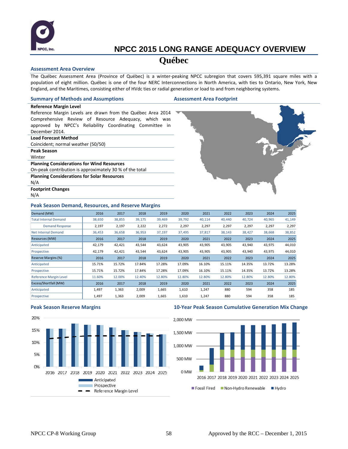

### **Québec**

#### **Assessment Area Overview**

The Québec Assessment Area (Province of Québec) is a winter-peaking NPCC subregion that covers 595,391 square miles with a population of eight million. Québec is one of the four NERC Interconnections in North America, with ties to Ontario, New York, New England, and the Maritimes, consisting either of HVdc ties or radial generation or load to and from neighboring systems.

#### **Summary of Methods and Assumptions Assessment Area Footprint**

**Reference Margin Level** Reference Margin Levels are drawn from the Québec Area 2014 Comprehensive Review of Resource Adequacy, which was approved by NPCC's Reliability Coordinating Committee in December 2014.

- **Load Forecast Method**
- Coincident; normal weather (50/50)
- **Peak Season**
- Winter

**Planning Considerations for Wind Resources**

On-peak contribution is approximately 30 % of the total

- **Planning Considerations for Solar Resources**
- N/A

**Footprint Changes**

N/A

#### **Peak Season Demand, Resources, and Reserve Margins**

| Demand (MW)                   | 2016   | 2017   | 2018   | 2019   | 2020   | 2021   | 2022   | 2023   | 2024   | 2025   |
|-------------------------------|--------|--------|--------|--------|--------|--------|--------|--------|--------|--------|
| <b>Total Internal Demand</b>  | 38,650 | 38,855 | 39,175 | 39,469 | 39,792 | 40,114 | 40,440 | 40,724 | 40,965 | 41,149 |
| <b>Demand Response</b>        | 2,197  | 2,197  | 2,222  | 2,272  | 2,297  | 2,297  | 2,297  | 2,297  | 2,297  | 2,297  |
| <b>Net Internal Demand</b>    | 36,453 | 36,658 | 36,953 | 37,197 | 37,495 | 37,817 | 38,143 | 38,427 | 38,668 | 38,852 |
| Resources (MW)                | 2016   | 2017   | 2018   | 2019   | 2020   | 2021   | 2022   | 2023   | 2024   | 2025   |
| Anticipated                   | 42,179 | 42,421 | 43,544 | 43,624 | 43,905 | 43,905 | 43,905 | 43,940 | 43,975 | 44,010 |
| Prospective                   | 42,179 | 42,421 | 43,544 | 43,624 | 43,905 | 43,905 | 43,905 | 43,940 | 43,975 | 44,010 |
| Reserve Margins (%)           | 2016   | 2017   | 2018   | 2019   | 2020   | 2021   | 2022   | 2023   | 2024   | 2025   |
| Anticipated                   | 15.71% | 15.72% | 17.84% | 17.28% | 17.09% | 16.10% | 15.11% | 14.35% | 13.72% | 13.28% |
| Prospective                   | 15.71% | 15.72% | 17.84% | 17.28% | 17.09% | 16.10% | 15.11% | 14.35% | 13.72% | 13.28% |
| <b>Reference Margin Level</b> | 11.60% | 12.00% | 12.40% | 12.80% | 12.80% | 12.80% | 12.80% | 12.80% | 12.80% | 12.80% |
| Excess/Shortfall (MW)         | 2016   | 2017   | 2018   | 2019   | 2020   | 2021   | 2022   | 2023   | 2024   | 2025   |
| Anticipated                   | 1,497  | 1,363  | 2,009  | 1,665  | 1,610  | 1,247  | 880    | 594    | 358    | 185    |
| Prospective                   | 1,497  | 1,363  | 2,009  | 1,665  | 1,610  | 1,247  | 880    | 594    | 358    | 185    |



#### **Peak Season Reserve Margins 10-Year Peak Season Cumulative Generation Mix Change**

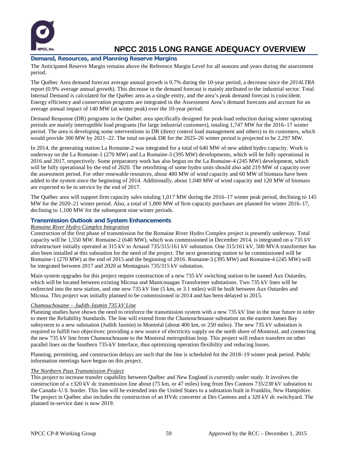

### **Demand, Resources, and Planning Reserve Margins**

The Anticipated Reserve Margin remains above the Reference Margin Level for all seasons and years during the assessment period.

The Québec Area demand forecast average annual growth is 0.7% during the 10-year period, a decrease since the *2014LTRA* report (0.9% average annual growth). This decrease in the demand forecast is mainly attributed to the industrial sector. Total Internal Demand is calculated for the Québec area as a single entity, and the area's peak demand forecast is coincident. Energy efficiency and conservation programs are integrated in the Assessment Area's demand forecasts and account for an average annual impact of 140 MW (at winter peak) over the 10-year period.

Demand Response (DR) programs in the Québec area specifically designed for peak-load reduction during winter operating periods are mainly interruptible load programs (for large industrial customers), totaling 1,747 MW for the 2016–17 winter period. The area is developing some interventions in DR (direct control load management and others) to its customers, which would provide 300 MW by 2021–22. The total on-peak DR for the 2025–26 winter period is projected to be 2,297 MW.

In 2014, the generating station La Romaine-2 was integrated for a total of 640 MW of new added hydro capacity. Work is underway on the La Romaine-1 (270 MW) and La Romaine-3 (395 MW) developments, which will be fully operational in 2016 and 2017, respectively. Some preparatory work has also begun on the La Romaine-4 (245 MW) development, which will be fully operational by the end of 2020. The retrofitting of some hydro units should also add 219 MW of capacity over the assessment period. For other renewable resources, about 480 MW of wind capacity and 60 MW of biomass have been added to the system since the beginning of 2014. Additionally, about 1,040 MW of wind capacity and 120 MW of biomass are expected to be in service by the end of 2017.

The Québec area will support firm capacity sales totaling 1,017 MW during the 2016–17 winter peak period, declining to 145 MW for the 2020–21 winter period. Also, a total of 1,800 MW of firm capacity purchases are planned for winter 2016–17, declining to 1,100 MW for the subsequent nine winter periods.

### **Transmission Outlook and System Enhancements**

### *Romaine River Hydro Complex Integration*

Construction of the first phase of transmission for the Romaine River Hydro Complex project is presently underway. Total capacity will be 1,550 MW. Romaine-2 (640 MW), which was commissioned in December 2014, is integrated on a 735 kV infrastructure initially operated at 315 kV to Arnaud 735/315/161 kV substation. One 315/161 kV, 500 MVA transformer has also been installed at this substation for the need of the project. The next generating station to be commissioned will be Romaine-1 (270 MW) at the end of 2015 and the beginning of 2016. Romaine-3 (395 MW) and Romaine-4 (245 MW) will be integrated between 2017 and 2020 at Montagnais 735/315 kV substation.

Main system upgrades for this project require construction of a new 735 kV switching station to be named Aux Outardes, which will be located between existing Micoua and Manicouagan Transformer substations. Two 735 kV lines will be redirected into the new station, and one new 735 kV line (5 km, or 3.1 miles) will be built between Aux Outardes and Micoua. This project was initially planned to be commissioned in 2014 and has been delayed to 2015.

### *Chamouchouane – Judith-Jasmin 735 kV Line*

Planning studies have shown the need to reinforce the transmission system with a new 735 kV line in the near future in order to meet the Reliability Standards. The line will extend from the Chamouchouane substation on the eastern James Bay subsystem to a new substation (Judith Jasmin) in Montréal (about 400 km, or 250 miles). The new 735 kV substation is required to fulfill two objectives: providing a new source of electricity supply on the north shore of Montreal, and connecting the new 735 kV line from Chamouchouane to the Montreal metropolitan loop. This project will reduce transfers on other parallel lines on the Southern 735-kV Interface, thus optimizing operation flexibility and reducing losses.

Planning, permitting, and construction delays are such that the line is scheduled for the 2018–19 winter peak period. Public information meetings have begun on this project.

### *The Northern Pass Transmission Project*

This project to increase transfer capability between Québec and New England is currently under study. It involves the construction of a ±320 kV dc transmission line about (75 km, or 47 miles) long from Des Cantons 735/230 kV substation to the Canada–U.S. border. This line will be extended into the United States to a substation built in Franklin, New Hampshire. The project in Québec also includes the construction of an HVdc converter at Des Cantons and a 320 kV dc switchyard. The planned in-service date is now 2019.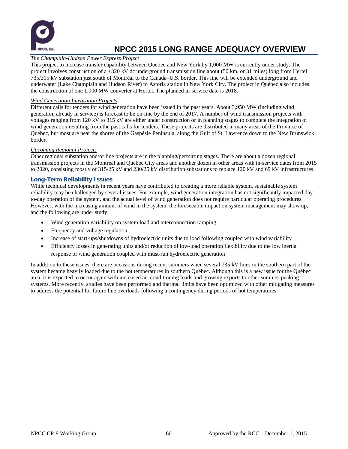

### *The Champlain-Hudson Power Express Project*

This project to increase transfer capability between Québec and New York by 1,000 MW is currently under study. The project involves construction of a  $\pm 320$  kV dc underground transmission line about (50 km, or 31 miles) long from Hertel 735/315 kV substation just south of Montréal to the Canada–U.S. border. This line will be extended underground and underwater (Lake Champlain and Hudson River) to Astoria station in New York City. The project in Québec also includes the construction of one 1,000 MW converter at Hertel. The planned in-service date is 2018.

### *Wind Generation Integration Projects*

Different calls for tenders for wind generation have been issued in the past years. About 3,950 MW (including wind generation already in service) is forecast to be on-line by the end of 2017. A number of wind transmission projects with voltages ranging from 120 kV to 315 kV are either under construction or in planning stages to complete the integration of wind generation resulting from the past calls for tenders. These projects are distributed in many areas of the Province of Québec, but most are near the shores of the Gaspésie Peninsula, along the Gulf of St. Lawrence down to the New Brunswick border.

#### *Upcoming Regional Projects*

Other regional substation and/or line projects are in the planning/permitting stages. There are about a dozen regional transmission projects in the Montréal and Québec City areas and another dozen in other areas with in-service dates from 2015 to 2020, consisting mostly of 315/25 kV and 230/25 kV distribution substations to replace 120 kV and 69 kV infrastructures.

### **Long-Term Reliability Issues**

While technical developments in recent years have contributed to creating a more reliable system, sustainable system reliability may be challenged by several issues. For example, wind generation integration has not significantly impacted dayto-day operation of the system, and the actual level of wind generation does not require particular operating procedures. However, with the increasing amount of wind in the system, the foreseeable impact on system management may show up, and the following are under study:

- Wind generation variability on system load and interconnection ramping
- Frequency and voltage regulation
- Increase of start-ups/shutdowns of hydroelectric units due to load following coupled with wind variability
- Efficiency losses in generating units and/or reduction of low-load operation flexibility due to the low inertia response of wind generation coupled with must-run hydroelectric generation

In addition to these issues, there are occasions during recent summers when several 735 kV lines in the southern part of the system became heavily loaded due to the hot temperatures in southern Québec. Although this is a new issue for the Québec area, it is expected to occur again with increased air-conditioning loads and growing exports to other summer-peaking systems. More recently, studies have been performed and thermal limits have been optimized with other mitigating measures to address the potential for future line overloads following a contingency during periods of hot temperatures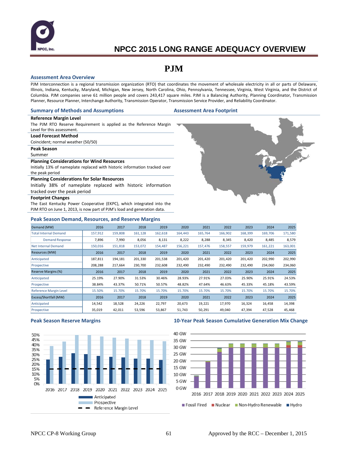

### **PJM**

#### **Assessment Area Overview**

PJM Interconnection is a regional transmission organization (RTO) that coordinates the movement of wholesale electricity in all or parts of Delaware, Illinois, Indiana, Kentucky, Maryland, Michigan, New Jersey, North Carolina, Ohio, Pennsylvania, Tennessee, Virginia, West Virginia, and the District of Columbia. PJM companies serve 61 million people and covers 243,417 square miles. PJM is a Balancing Authority, Planning Coordinator, Transmission Planner, Resource Planner, Interchange Authority, Transmission Operator, Transmission Service Provider, and Reliability Coordinator.

#### **Summary of Methods and Assumptions Assessment Area Footprint**

#### **Reference Margin Level**

The PJM RTO Reserve Requirement is applied as the Reference Margin Level for this assessment.

#### **Load Forecast Method**

Coincident; normal weather (50/50)

### **Peak Season**

Summer

#### **Planning Considerations for Wind Resources**

Initially 13% of nameplate replaced with historic information tracked over the peak period

#### **Planning Considerations for Solar Resources**

Initially 38% of nameplate replaced with historic information tracked over the peak period

#### **Footprint Changes**

The East Kentucky Power Cooperative (EKPC), which integrated into the PJM RTO on June 1, 2013, is now part of PJM's load and generation data.

#### **Peak Season Demand, Resources, and Reserve Margins**

| Demand (MW)                   | 2016    | 2017    | 2018    | 2019    | 2020    | 2021    | 2022    | 2023    | 2024    | 2025    |
|-------------------------------|---------|---------|---------|---------|---------|---------|---------|---------|---------|---------|
| <b>Total Internal Demand</b>  | 157,912 | 159,808 | 161,128 | 162,618 | 164,443 | 165,764 | 166,902 | 168,399 | 169,706 | 171,580 |
| <b>Demand Response</b>        | 7,896   | 7,990   | 8,056   | 8,131   | 8,222   | 8,288   | 8,345   | 8,420   | 8,485   | 8,579   |
| <b>Net Internal Demand</b>    | 150,016 | 151,818 | 153,072 | 154,487 | 156,221 | 157,476 | 158,557 | 159,979 | 161,221 | 163,001 |
| Resources (MW)                | 2016    | 2017    | 2018    | 2019    | 2020    | 2021    | 2022    | 2023    | 2024    | 2025    |
| Anticipated                   | 187,811 | 194,181 | 201,330 | 201,538 | 201,420 | 201,420 | 201,420 | 201,420 | 202,990 | 202,990 |
| Prospective                   | 208,288 | 217,664 | 230,700 | 232,608 | 232,490 | 232,490 | 232,490 | 232,490 | 234,060 | 234,060 |
| Reserve Margins (%)           | 2016    | 2017    | 2018    | 2019    | 2020    | 2021    | 2022    | 2023    | 2024    | 2025    |
| Anticipated                   | 25.19%  | 27.90%  | 31.53%  | 30.46%  | 28.93%  | 27.91%  | 27.03%  | 25.90%  | 25.91%  | 24.53%  |
| Prospective                   | 38.84%  | 43.37%  | 50.71%  | 50.57%  | 48.82%  | 47.64%  | 46.63%  | 45.33%  | 45.18%  | 43.59%  |
| <b>Reference Margin Level</b> | 15.50%  | 15.70%  | 15.70%  | 15.70%  | 15.70%  | 15.70%  | 15.70%  | 15.70%  | 15.70%  | 15.70%  |
| Excess/Shortfall (MW)         | 2016    | 2017    | 2018    | 2019    | 2020    | 2021    | 2022    | 2023    | 2024    | 2025    |
| Anticipated                   | 14,542  | 18,528  | 24,226  | 22,797  | 20,673  | 19,221  | 17,970  | 16,324  | 16,458  | 14,398  |
| Prospective                   | 35,019  | 42,011  | 53,596  | 53,867  | 51,743  | 50,291  | 49,040  | 47,394  | 47,528  | 45,468  |



#### **Peak Season Reserve Margins 10-Year Peak Season Cumulative Generation Mix Change**

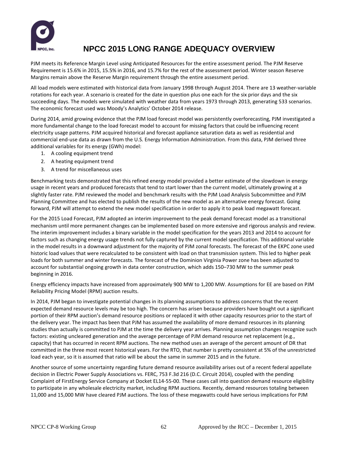

PJM meets its Reference Margin Level using Anticipated Resources for the entire assessment period. The PJM Reserve Requirement is 15.6% in 2015, 15.5% in 2016, and 15.7% for the rest of the assessment period. Winter season Reserve Margins remain above the Reserve Margin requirement through the entire assessment period.

All load models were estimated with historical data from January 1998 through August 2014. There are 13 weather-variable rotations for each year. A scenario is created for the date in question plus one each for the six prior days and the six succeeding days. The models were simulated with weather data from years 1973 through 2013, generating 533 scenarios. The economic forecast used was Moody's Analytics' October 2014 release.

During 2014, amid growing evidence that the PJM load forecast model was persistently overforecasting, PJM investigated a more fundamental change to the load forecast model to account for missing factors that could be influencing recent electricity usage patterns. PJM acquired historical and forecast appliance saturation data as well as residential and commercial end-use data as drawn from the U.S. Energy Information Administration. From this data, PJM derived three additional variables for its energy (GWh) model:

- 1. A cooling equipment trend
- 2. A heating equipment trend
- 3. A trend for miscellaneous uses

Benchmarking tests demonstrated that this refined energy model provided a better estimate of the slowdown in energy usage in recent years and produced forecasts that tend to start lower than the current model, ultimately growing at a slightly faster rate. PJM reviewed the model and benchmark results with the PJM Load Analysis Subcommittee and PJM Planning Committee and has elected to publish the results of the new model as an alternative energy forecast. Going forward, PJM will attempt to extend the new model specification in order to apply it to peak load megawatt forecast.

For the 2015 Load Forecast, PJM adopted an interim improvement to the peak demand forecast model as a transitional mechanism until more permanent changes can be implemented based on more extensive and rigorous analysis and review. The interim improvement includes a binary variable in the model specification for the years 2013 and 2014 to account for factors such as changing energy usage trends not fully captured by the current model specification. This additional variable in the model results in a downward adjustment for the majority of PJM zonal forecasts. The forecast of the EKPC zone used historic load values that were recalculated to be consistent with load on that transmission system. This led to higher peak loads for both summer and winter forecasts. The forecast of the Dominion Virginia Power zone has been adjusted to account for substantial ongoing growth in data center construction, which adds 150–730 MW to the summer peak beginning in 2016.

Energy efficiency impacts have increased from approximately 900 MW to 1,200 MW. Assumptions for EE are based on PJM Reliability Pricing Model (RPM) auction results.

In 2014, PJM began to investigate potential changes in its planning assumptions to address concerns that the recent expected demand resource levels may be too high. The concern has arisen because providers have bought out a significant portion of their RPM auction's demand resource positions or replaced it with other capacity resources prior to the start of the delivery year. The impact has been that PJM has assumed the availability of more demand resources in its planning studies than actually is committed to PJM at the time the delivery year arrives. Planning assumption changes recognize such factors: existing uncleared generation and the average percentage of PJM demand resource net replacement (e.g., capacity) that has occurred in recent RPM auctions. The new method uses an average of the percent amount of DR that committed in the three most recent historical years. For the RTO, that number is pretty consistent at 5% of the unrestricted load each year, so it is assumed that ratio will be about the same in summer 2015 and in the future.

Another source of some uncertainty regarding future demand resource availability arises out of a recent federal appellate decision in Electric Power Supply Associations vs. FERC, 753 F.3d 216 (D.C. Circuit 2014), coupled with the pending Complaint of FirstEnergy Service Company at Docket EL14-55-00. These cases call into question demand resource eligibility to participate in any wholesale electricity market, including RPM auctions. Recently, demand resources totaling between 11,000 and 15,000 MW have cleared PJM auctions. The loss of these megawatts could have serious implications for PJM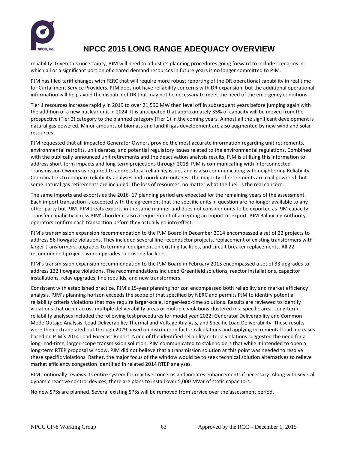

reliability. Given this uncertainty, PJM will need to adjust its planning procedures going forward to include scenarios in which all or a significant portion of cleared demand resources in future years is no longer committed to PJM.

PJM has filed tariff changes with FERC that will require more robust reporting of the DR operational capability in real time for Curtailment Service Providers. PJM does not have reliability concerns with DR expansion, but the additional operational information will help avoid the dispatch of DR that may not be necessary to meet the need of the emergency conditions.

Tier 1 resources increase rapidly in 2019 to over 21,590 MW then level off in subsequent years before jumping again with the addition of a new nuclear unit in 2024. It is anticipated that approximately 35% of capacity will be moved from the prospective (Tier 2) category to the planned category (Tier 1) in the coming years. Almost all the significant development is natural gas powered. Minor amounts of biomass and landfill gas development are also augmented by new wind and solar resources.

PJM requested that all impacted Generator Owners provide the most accurate information regarding unit retirements, environmental retrofits, unit derates, and potential regulatory issues related to the environmental regulations. Combined with the publically announced unit retirements and the deactivation analysis results, PJM is utilizing this information to address short-term impacts and long-term projections through 2018. PJM is communicating with interconnected Transmission Owners as required to address local reliability issues and is also communicating with neighboring Reliability Coordinators to compare reliability analyses and coordinate outages. The majority of retirements are coal powered, but some natural gas retirements are included. The loss of resources, no matter what the fuel, is the real concern.

The same imports and exports as the 2016–17 planning period are expected for the remaining years of the assessment. Each import transaction is accepted with the agreement that the specific units in question are no longer available to any other party but PJM. PJM treats exports in the same manner and does not consider units to be exported as PJM capacity. Transfer capability across PJM's border is also a requirement of accepting an import or export. PJM Balancing Authority operators confirm each transaction before they actually go into effect.

PJM's transmission expansion recommendation to the PJM Board in December 2014 encompassed a set of 22 projects to address 56 flowgate violations. They included several line reconductor projects, replacement of existing transformers with larger transformers, upgrades to terminal equipment on existing facilities, and circuit breaker replacements. All 22 recommended projects were upgrades to existing facilities.

PJM's transmission expansion recommendation to the PJM Board in February 2015 encompassed a set of 33 upgrades to address 132 flowgate violations. The recommendations included Greenfield solutions, reactor installations, capacitor installations, relay upgrades, line rebuilds, and new transformers.

Consistent with established practice, PJM's 15-year planning horizon encompassed both reliability and market efficiency analysis. PJM's planning horizon exceeds the scope of that specified by NERC and permits PJM to identify potential reliability criteria violations that may require larger-scale, longer-lead-time solutions. Results are reviewed to identify violations that occur across multiple deliverability areas or multiple violations clustered in a specific area. Long-term reliability analyses included the following test procedures for model year 2022: Generator Deliverability and Common Mode Outage Analysis, Load Deliverability Thermal and Voltage Analysis, and Specific Load Deliverability. These results were then extrapolated out through 2029 based on distribution factor calculations and applying incremental load increases based on PJM's 2014 Load Forecast Report. None of the identified reliability criteria violations suggested the need for a long-lead-time, larger-scope transmission solution. PJM communicated to stakeholders that while it intended to open a long-term RTEP proposal window, PJM did not believe that a transmission solution at this point was needed to resolve these specific violations. Rather, the major focus of the window would be to seek technical solution alternatives to relieve market efficiency congestion identified in related 2014 RTEP analyses.

PJM continually reviews its entire system for reactive concerns and initiates enhancements if necessary. Along with several dynamic reactive control devices, there are plans to install over 5,000 MVar of static capacitors.

No new SPSs are planned. Several existing SPSs will be removed from service over the assessment period.